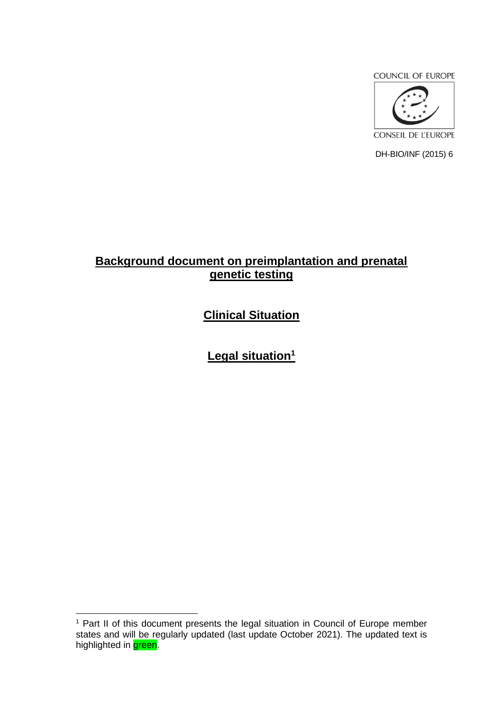**COUNCIL OF EUROPE** 



CONSEIL DE L'EUROPE

DH-BIO/INF (2015) 6

# **Background document on preimplantation and prenatal genetic testing**

**Clinical Situation**

**Legal situation<sup>1</sup>**

<sup>&</sup>lt;sup>1</sup> Part II of this document presents the legal situation in Council of Europe member states and will be regularly updated (last update October 2021). The updated text is highlighted in **green**.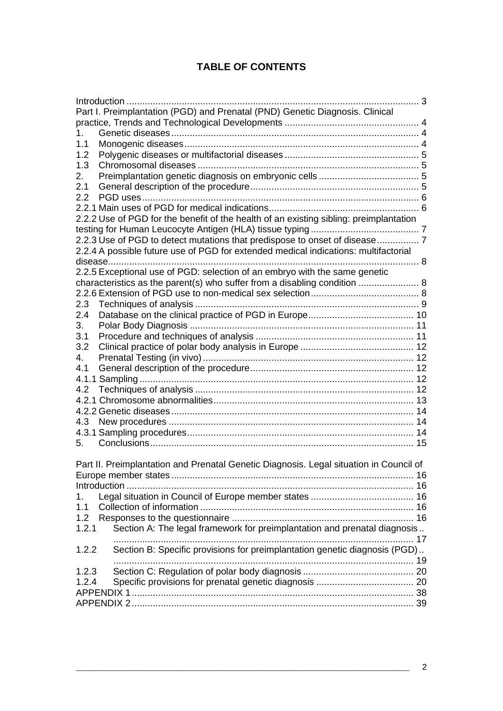# **TABLE OF CONTENTS**

|       | Part I. Preimplantation (PGD) and Prenatal (PND) Genetic Diagnosis. Clinical           |    |
|-------|----------------------------------------------------------------------------------------|----|
|       |                                                                                        |    |
| 1.    |                                                                                        |    |
| 1.1   |                                                                                        |    |
| 1.2   |                                                                                        |    |
| 1.3   |                                                                                        |    |
| 2.    |                                                                                        |    |
| 2.1   |                                                                                        |    |
| 2.2   |                                                                                        |    |
|       |                                                                                        |    |
|       | 2.2.2 Use of PGD for the benefit of the health of an existing sibling: preimplantation |    |
|       |                                                                                        |    |
|       | 2.2.3 Use of PGD to detect mutations that predispose to onset of disease 7             |    |
|       |                                                                                        |    |
|       | 2.2.4 A possible future use of PGD for extended medical indications: multifactorial    |    |
|       |                                                                                        |    |
|       | 2.2.5 Exceptional use of PGD: selection of an embryo with the same genetic             |    |
|       | characteristics as the parent(s) who suffer from a disabling condition  8              |    |
|       |                                                                                        |    |
| 2.3   |                                                                                        |    |
| 2.4   |                                                                                        |    |
| 3.    |                                                                                        |    |
| 3.1   |                                                                                        |    |
| 3.2   |                                                                                        |    |
| 4.    |                                                                                        |    |
| 4.1   |                                                                                        |    |
|       |                                                                                        |    |
| 4.2   |                                                                                        |    |
|       |                                                                                        |    |
|       |                                                                                        |    |
| 4.3   |                                                                                        |    |
|       |                                                                                        |    |
| 5.    |                                                                                        |    |
|       |                                                                                        |    |
|       | Part II. Preimplantation and Prenatal Genetic Diagnosis. Legal situation in Council of |    |
|       |                                                                                        | 16 |
|       |                                                                                        |    |
|       |                                                                                        |    |
| 1.    |                                                                                        |    |
| 1.1   |                                                                                        |    |
| 1.2   |                                                                                        |    |
| 1.2.1 | Section A: The legal framework for preimplantation and prenatal diagnosis              |    |
|       |                                                                                        |    |
| 1.2.2 | Section B: Specific provisions for preimplantation genetic diagnosis (PGD)             |    |
|       |                                                                                        |    |
| 1.2.3 |                                                                                        |    |
| 1.2.4 |                                                                                        |    |
|       |                                                                                        |    |
|       |                                                                                        |    |
|       |                                                                                        |    |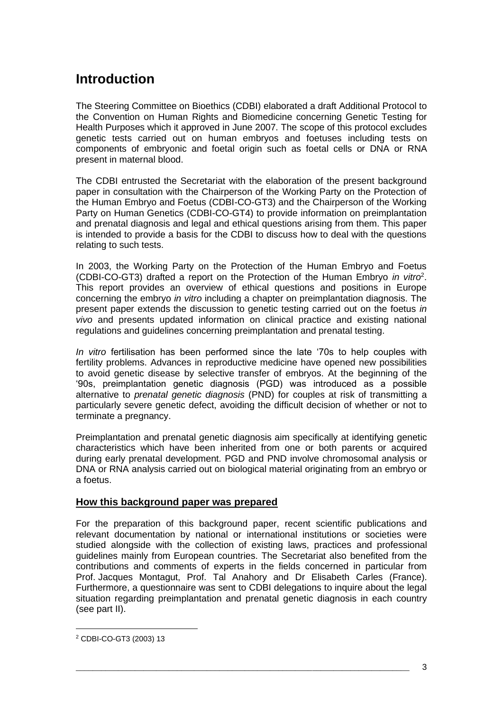# <span id="page-2-0"></span>**Introduction**

The Steering Committee on Bioethics (CDBI) elaborated a draft Additional Protocol to the Convention on Human Rights and Biomedicine concerning Genetic Testing for Health Purposes which it approved in June 2007. The scope of this protocol excludes genetic tests carried out on human embryos and foetuses including tests on components of embryonic and foetal origin such as foetal cells or DNA or RNA present in maternal blood.

The CDBI entrusted the Secretariat with the elaboration of the present background paper in consultation with the Chairperson of the Working Party on the Protection of the Human Embryo and Foetus (CDBI-CO-GT3) and the Chairperson of the Working Party on Human Genetics (CDBI-CO-GT4) to provide information on preimplantation and prenatal diagnosis and legal and ethical questions arising from them. This paper is intended to provide a basis for the CDBI to discuss how to deal with the questions relating to such tests.

In 2003, the Working Party on the Protection of the Human Embryo and Foetus (CDBI-CO-GT3) drafted a report on the Protection of the Human Embryo *in vitro*<sup>2</sup> . This report provides an overview of ethical questions and positions in Europe concerning the embryo *in vitro* including a chapter on preimplantation diagnosis. The present paper extends the discussion to genetic testing carried out on the foetus *in vivo* and presents updated information on clinical practice and existing national regulations and guidelines concerning preimplantation and prenatal testing.

*In vitro* fertilisation has been performed since the late '70s to help couples with fertility problems. Advances in reproductive medicine have opened new possibilities to avoid genetic disease by selective transfer of embryos. At the beginning of the '90s, preimplantation genetic diagnosis (PGD) was introduced as a possible alternative to *prenatal genetic diagnosis* (PND) for couples at risk of transmitting a particularly severe genetic defect, avoiding the difficult decision of whether or not to terminate a pregnancy.

Preimplantation and prenatal genetic diagnosis aim specifically at identifying genetic characteristics which have been inherited from one or both parents or acquired during early prenatal development. PGD and PND involve chromosomal analysis or DNA or RNA analysis carried out on biological material originating from an embryo or a foetus.

## **How this background paper was prepared**

For the preparation of this background paper, recent scientific publications and relevant documentation by national or international institutions or societies were studied alongside with the collection of existing laws, practices and professional guidelines mainly from European countries. The Secretariat also benefited from the contributions and comments of experts in the fields concerned in particular from Prof. Jacques Montagut, Prof. Tal Anahory and Dr Elisabeth Carles (France). Furthermore, a questionnaire was sent to CDBI delegations to inquire about the legal situation regarding preimplantation and prenatal genetic diagnosis in each country (see part II).

<sup>2</sup> CDBI-CO-GT3 (2003) 13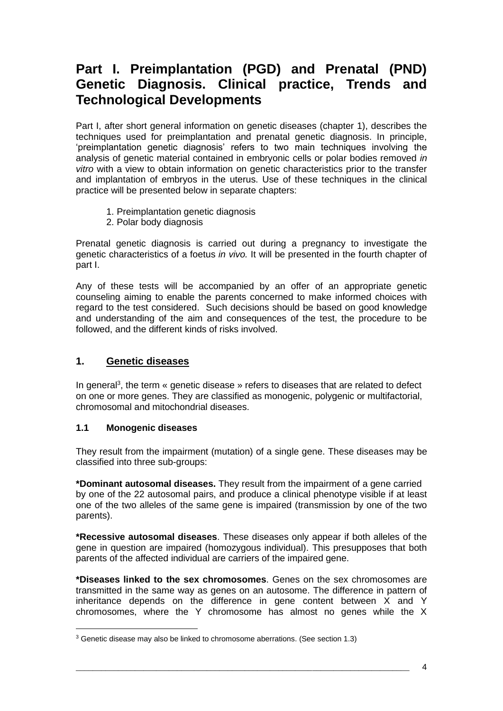# <span id="page-3-0"></span>**Part I. Preimplantation (PGD) and Prenatal (PND) Genetic Diagnosis. Clinical practice, Trends and Technological Developments**

Part I, after short general information on genetic diseases (chapter 1), describes the techniques used for preimplantation and prenatal genetic diagnosis. In principle, 'preimplantation genetic diagnosis' refers to two main techniques involving the analysis of genetic material contained in embryonic cells or polar bodies removed *in vitro* with a view to obtain information on genetic characteristics prior to the transfer and implantation of embryos in the uterus. Use of these techniques in the clinical practice will be presented below in separate chapters:

- 1. Preimplantation genetic diagnosis
- 2. Polar body diagnosis

Prenatal genetic diagnosis is carried out during a pregnancy to investigate the genetic characteristics of a foetus *in vivo.* It will be presented in the fourth chapter of part I.

Any of these tests will be accompanied by an offer of an appropriate genetic counseling aiming to enable the parents concerned to make informed choices with regard to the test considered. Such decisions should be based on good knowledge and understanding of the aim and consequences of the test, the procedure to be followed, and the different kinds of risks involved.

## <span id="page-3-1"></span>**1. Genetic diseases**

In general<sup>3</sup>, the term « genetic disease » refers to diseases that are related to defect on one or more genes. They are classified as monogenic, polygenic or multifactorial, chromosomal and mitochondrial diseases.

#### <span id="page-3-2"></span>**1.1 Monogenic diseases**

They result from the impairment (mutation) of a single gene. These diseases may be classified into three sub-groups:

**\*Dominant autosomal diseases.** They result from the impairment of a gene carried by one of the 22 autosomal pairs, and produce a clinical phenotype visible if at least one of the two alleles of the same gene is impaired (transmission by one of the two parents).

**\*Recessive autosomal diseases**. These diseases only appear if both alleles of the gene in question are impaired (homozygous individual). This presupposes that both parents of the affected individual are carriers of the impaired gene.

**\*Diseases linked to the sex chromosomes**. Genes on the sex chromosomes are transmitted in the same way as genes on an autosome. The difference in pattern of inheritance depends on the difference in gene content between X and Y chromosomes, where the Y chromosome has almost no genes while the X

<sup>&</sup>lt;sup>3</sup> Genetic disease may also be linked to chromosome aberrations. (See section 1.3)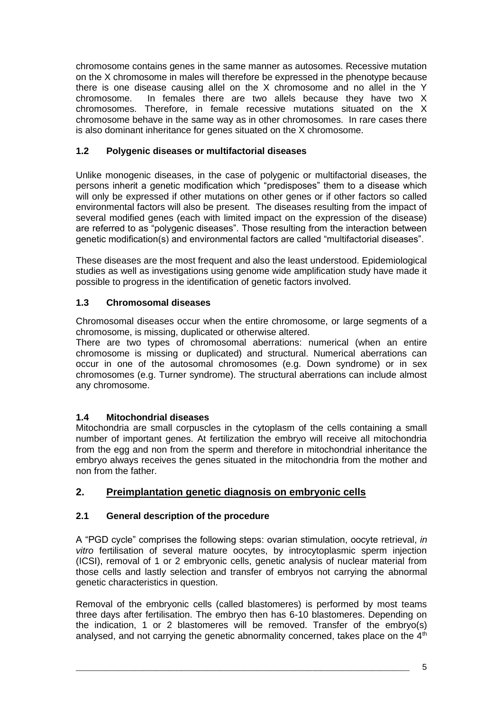chromosome contains genes in the same manner as autosomes. Recessive mutation on the X chromosome in males will therefore be expressed in the phenotype because there is one disease causing allel on the X chromosome and no allel in the Y<br>chromosome. In females there are two allels because they have two X In females there are two allels because they have two  $X$ chromosomes. Therefore, in female recessive mutations situated on the X chromosome behave in the same way as in other chromosomes. In rare cases there is also dominant inheritance for genes situated on the X chromosome.

## <span id="page-4-0"></span>**1.2 Polygenic diseases or multifactorial diseases**

Unlike monogenic diseases, in the case of polygenic or multifactorial diseases, the persons inherit a genetic modification which "predisposes" them to a disease which will only be expressed if other mutations on other genes or if other factors so called environmental factors will also be present. The diseases resulting from the impact of several modified genes (each with limited impact on the expression of the disease) are referred to as "polygenic diseases". Those resulting from the interaction between genetic modification(s) and environmental factors are called "multifactorial diseases".

These diseases are the most frequent and also the least understood. Epidemiological studies as well as investigations using genome wide amplification study have made it possible to progress in the identification of genetic factors involved.

## <span id="page-4-1"></span>**1.3 Chromosomal diseases**

Chromosomal diseases occur when the entire chromosome, or large segments of a chromosome, is missing, duplicated or otherwise altered.

There are two types of chromosomal aberrations: numerical (when an entire chromosome is missing or duplicated) and structural. Numerical aberrations can occur in one of the autosomal chromosomes (e.g. Down syndrome) or in sex chromosomes (e.g. Turner syndrome). The structural aberrations can include almost any chromosome.

## **1.4 Mitochondrial diseases**

Mitochondria are small corpuscles in the cytoplasm of the cells containing a small number of important genes. At fertilization the embryo will receive all mitochondria from the egg and non from the sperm and therefore in mitochondrial inheritance the embryo always receives the genes situated in the mitochondria from the mother and non from the father.

## <span id="page-4-2"></span>**2. Preimplantation genetic diagnosis on embryonic cells**

## <span id="page-4-3"></span>**2.1 General description of the procedure**

A "PGD cycle" comprises the following steps: ovarian stimulation, oocyte retrieval, *in vitro* fertilisation of several mature oocytes, by introcytoplasmic sperm injection (ICSI), removal of 1 or 2 embryonic cells, genetic analysis of nuclear material from those cells and lastly selection and transfer of embryos not carrying the abnormal genetic characteristics in question.

Removal of the embryonic cells (called blastomeres) is performed by most teams three days after fertilisation. The embryo then has 6-10 blastomeres. Depending on the indication, 1 or 2 blastomeres will be removed. Transfer of the embryo(s) analysed, and not carrying the genetic abnormality concerned, takes place on the  $4<sup>th</sup>$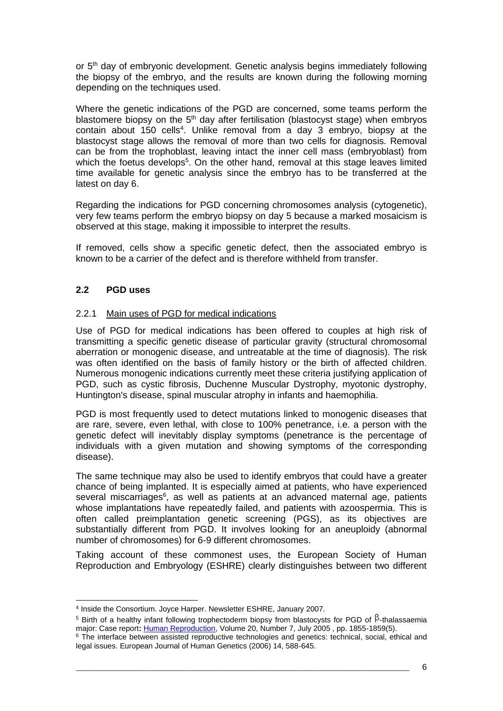or 5<sup>th</sup> day of embryonic development. Genetic analysis begins immediately following the biopsy of the embryo, and the results are known during the following morning depending on the techniques used.

Where the genetic indications of the PGD are concerned, some teams perform the blastomere biopsy on the  $5<sup>th</sup>$  day after fertilisation (blastocyst stage) when embryos contain about 150 cells<sup>4</sup>. Unlike removal from a day 3 embryo, biopsy at the blastocyst stage allows the removal of more than two cells for diagnosis. Removal can be from the trophoblast, leaving intact the inner cell mass (embryoblast) from which the foetus develops<sup>5</sup>. On the other hand, removal at this stage leaves limited time available for genetic analysis since the embryo has to be transferred at the latest on day 6.

Regarding the indications for PGD concerning chromosomes analysis (cytogenetic), very few teams perform the embryo biopsy on day 5 because a marked mosaicism is observed at this stage, making it impossible to interpret the results.

If removed, cells show a specific genetic defect, then the associated embryo is known to be a carrier of the defect and is therefore withheld from transfer.

## <span id="page-5-0"></span>**2.2 PGD uses**

#### <span id="page-5-1"></span>2.2.1 Main uses of PGD for medical indications

Use of PGD for medical indications has been offered to couples at high risk of transmitting a specific genetic disease of particular gravity (structural chromosomal aberration or monogenic disease, and untreatable at the time of diagnosis). The risk was often identified on the basis of family history or the birth of affected children. Numerous monogenic indications currently meet these criteria justifying application of PGD, such as cystic fibrosis, Duchenne Muscular Dystrophy, myotonic dystrophy, Huntington's disease, spinal muscular atrophy in infants and haemophilia.

PGD is most frequently used to detect mutations linked to monogenic diseases that are rare, severe, even lethal, with close to 100% penetrance, i.e. a person with the genetic defect will inevitably display symptoms (penetrance is the percentage of individuals with a given mutation and showing symptoms of the corresponding disease).

The same technique may also be used to identify embryos that could have a greater chance of being implanted. It is especially aimed at patients, who have experienced several miscarriages<sup>6</sup>, as well as patients at an advanced maternal age, patients whose implantations have repeatedly failed, and patients with azoospermia. This is often called preimplantation genetic screening (PGS), as its objectives are substantially different from PGD. It involves looking for an aneuploidy (abnormal number of chromosomes) for 6-9 different chromosomes.

Taking account of these commonest uses, the European Society of Human Reproduction and Embryology (ESHRE) clearly distinguishes between two different

<sup>4</sup> Inside the Consortium. Joyce Harper. Newsletter ESHRE, January 2007.

<sup>&</sup>lt;sup>5</sup> Birth of a healthy infant following trophectoderm biopsy from blastocysts for PGD of  $\beta$ -thalassaemia major: Case report**:** [Human Reproduction,](http://www.ingentaconnect.com/content/oup/humrep;jsessionid=dogk2eaa0m6o.alice) Volume 20, Number 7, July 2005 , pp. 1855-1859(5).

<sup>&</sup>lt;sup>6</sup> The interface between assisted reproductive technologies and genetics: technical, social, ethical and legal issues. European Journal of Human Genetics (2006) 14, 588-645.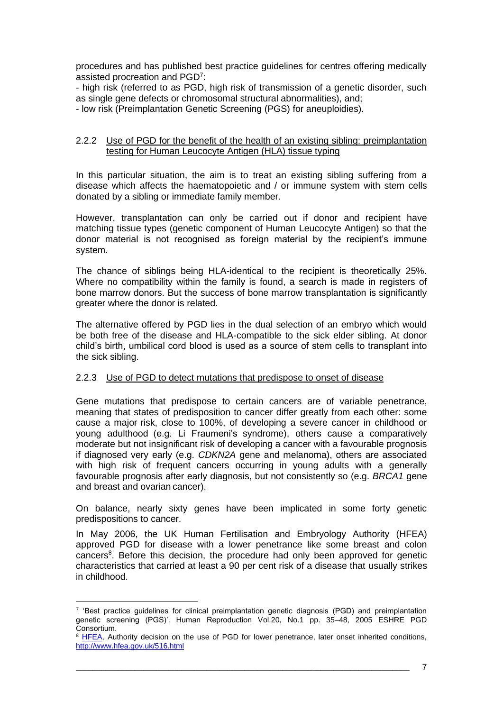procedures and has published best practice guidelines for centres offering medically assisted procreation and PGD<sup>7</sup> :

- high risk (referred to as PGD, high risk of transmission of a genetic disorder, such as single gene defects or chromosomal structural abnormalities), and;

- low risk (Preimplantation Genetic Screening (PGS) for aneuploidies).

#### <span id="page-6-0"></span>2.2.2 Use of PGD for the benefit of the health of an existing sibling: preimplantation testing for Human Leucocyte Antigen (HLA) tissue typing

In this particular situation, the aim is to treat an existing sibling suffering from a disease which affects the haematopoietic and / or immune system with stem cells donated by a sibling or immediate family member.

However, transplantation can only be carried out if donor and recipient have matching tissue types (genetic component of Human Leucocyte Antigen) so that the donor material is not recognised as foreign material by the recipient's immune system.

The chance of siblings being HLA-identical to the recipient is theoretically 25%. Where no compatibility within the family is found, a search is made in registers of bone marrow donors. But the success of bone marrow transplantation is significantly greater where the donor is related.

The alternative offered by PGD lies in the dual selection of an embryo which would be both free of the disease and HLA-compatible to the sick elder sibling. At donor child's birth, umbilical cord blood is used as a source of stem cells to transplant into the sick sibling.

#### <span id="page-6-1"></span>2.2.3 Use of PGD to detect mutations that predispose to onset of disease

Gene mutations that predispose to certain cancers are of variable penetrance, meaning that states of predisposition to cancer differ greatly from each other: some cause a major risk, close to 100%, of developing a severe cancer in childhood or young adulthood (e.g. Li Fraumeni's syndrome), others cause a comparatively moderate but not insignificant risk of developing a cancer with a favourable prognosis if diagnosed very early (e.g. *CDKN2A* gene and melanoma), others are associated with high risk of frequent cancers occurring in young adults with a generally favourable prognosis after early diagnosis, but not consistently so (e.g. *BRCA1* gene and breast and ovarian cancer).

On balance, nearly sixty genes have been implicated in some forty genetic predispositions to cancer.

In May 2006, the UK Human Fertilisation and Embryology Authority (HFEA) approved PGD for disease with a lower penetrance like some breast and colon cancers<sup>8</sup>. Before this decision, the procedure had only been approved for genetic characteristics that carried at least a 90 per cent risk of a disease that usually strikes in childhood.

<sup>7</sup> 'Best practice guidelines for clinical preimplantation genetic diagnosis (PGD) and preimplantation genetic screening (PGS)'. Human Reproduction Vol.20, No.1 pp. 35–48, 2005 ESHRE PGD Consortium.

<sup>&</sup>lt;sup>8</sup> [HFEA,](../ND%20Office%20Echo/AppData/Local/Microsoft/Windows/AppData/Local/Microsoft/Windows/AppData/Local/Microsoft/Windows/Temporary%20Internet%20Files/forne_c/AppData/Local/Microsoft/Users/meier-ma/AppData/Local/Microsoft/Windows/Temporary%20Internet%20Files/Content.Outlook/W70UKQ60/HFEA) Authority decision on the use of PGD for lower penetrance, later onset inherited conditions, <http://www.hfea.gov.uk/516.html>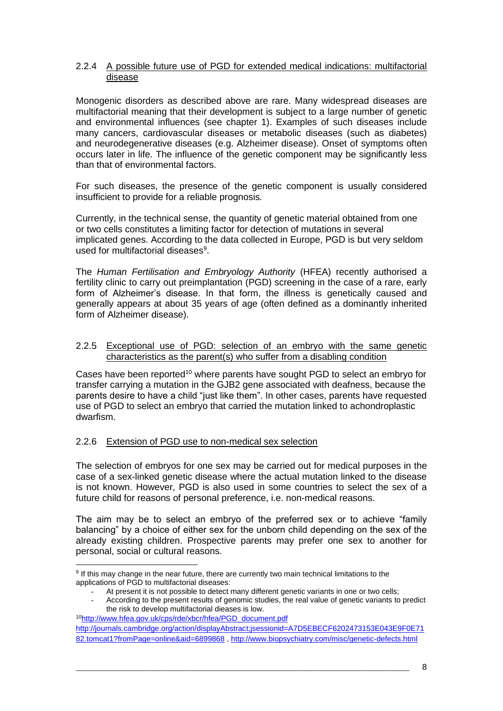#### <span id="page-7-0"></span>2.2.4 A possible future use of PGD for extended medical indications: multifactorial disease

Monogenic disorders as described above are rare. Many widespread diseases are multifactorial meaning that their development is subject to a large number of genetic and environmental influences (see chapter 1). Examples of such diseases include many cancers, cardiovascular diseases or metabolic diseases (such as diabetes) and neurodegenerative diseases (e.g. Alzheimer disease). Onset of symptoms often occurs later in life. The influence of the genetic component may be significantly less than that of environmental factors.

For such diseases, the presence of the genetic component is usually considered insufficient to provide for a reliable prognosis*.*

Currently, in the technical sense, the quantity of genetic material obtained from one or two cells constitutes a limiting factor for detection of mutations in several implicated genes. According to the data collected in Europe, PGD is but very seldom used for multifactorial diseases<sup>9</sup>.

The *Human Fertilisation and Embryology Authority* (HFEA) recently authorised a fertility clinic to carry out preimplantation (PGD) screening in the case of a rare, early form of Alzheimer's disease. In that form, the illness is genetically caused and generally appears at about 35 years of age (often defined as a dominantly inherited form of Alzheimer disease).

#### <span id="page-7-1"></span>2.2.5 Exceptional use of PGD: selection of an embryo with the same genetic characteristics as the parent(s) who suffer from a disabling condition

Cases have been reported<sup>10</sup> where parents have sought PGD to select an embryo for transfer carrying a mutation in the GJB2 gene associated with deafness, because the parents desire to have a child "just like them". In other cases, parents have requested use of PGD to select an embryo that carried the mutation linked to achondroplastic dwarfism.

## <span id="page-7-2"></span>2.2.6 Extension of PGD use to non-medical sex selection

The selection of embryos for one sex may be carried out for medical purposes in the case of a sex-linked genetic disease where the actual mutation linked to the disease is not known. However, PGD is also used in some countries to select the sex of a future child for reasons of personal preference, i.e. non-medical reasons.

The aim may be to select an embryo of the preferred sex or to achieve "family balancing" by a choice of either sex for the unborn child depending on the sex of the already existing children. Prospective parents may prefer one sex to another for personal, social or cultural reasons.

<sup>10</sup>[http://www.hfea.gov.uk/cps/rde/xbcr/hfea/PGD\\_document.pdf](http://www.hfea.gov.uk/cps/rde/xbcr/hfea/PGD_document.pdf) [http://journals.cambridge.org/action/displayAbstract;jsessionid=A7D5EBECF6202473153E043E9F0E71](http://journals.cambridge.org/action/displayAbstract;jsessionid=A7D5EBECF6202473153E043E9F0E7182.tomcat1?fromPage=online&aid=6899868) [82.tomcat1?fromPage=online&aid=6899868](http://journals.cambridge.org/action/displayAbstract;jsessionid=A7D5EBECF6202473153E043E9F0E7182.tomcat1?fromPage=online&aid=6899868) [, http://www.biopsychiatry.com/misc/genetic-defects.html](http://www.biopsychiatry.com/misc/genetic-defects.html)

<sup>&</sup>lt;sup>9</sup> If this may change in the near future, there are currently two main technical limitations to the applications of PGD to multifactorial diseases:

At present it is not possible to detect many different genetic variants in one or two cells;

<sup>-</sup> According to the present results of genomic studies, the real value of genetic variants to predict the risk to develop multifactorial dieases is low.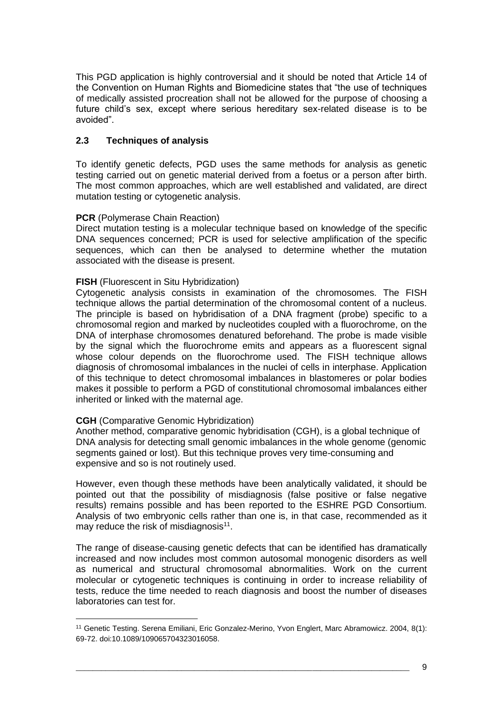This PGD application is highly controversial and it should be noted that Article 14 of the Convention on Human Rights and Biomedicine states that "the use of techniques of medically assisted procreation shall not be allowed for the purpose of choosing a future child's sex, except where serious hereditary sex-related disease is to be avoided".

## <span id="page-8-0"></span>**2.3 Techniques of analysis**

To identify genetic defects, PGD uses the same methods for analysis as genetic testing carried out on genetic material derived from a foetus or a person after birth. The most common approaches, which are well established and validated, are direct mutation testing or cytogenetic analysis.

#### **PCR** (Polymerase Chain Reaction)

Direct mutation testing is a molecular technique based on knowledge of the specific DNA sequences concerned; PCR is used for selective amplification of the specific sequences, which can then be analysed to determine whether the mutation associated with the disease is present.

#### **FISH** (Fluorescent in Situ Hybridization)

Cytogenetic analysis consists in examination of the chromosomes. The FISH technique allows the partial determination of the chromosomal content of a nucleus. The principle is based on hybridisation of a DNA fragment (probe) specific to a chromosomal region and marked by nucleotides coupled with a fluorochrome, on the DNA of interphase chromosomes denatured beforehand. The probe is made visible by the signal which the fluorochrome emits and appears as a fluorescent signal whose colour depends on the fluorochrome used. The FISH technique allows diagnosis of chromosomal imbalances in the nuclei of cells in interphase. Application of this technique to detect chromosomal imbalances in blastomeres or polar bodies makes it possible to perform a PGD of constitutional chromosomal imbalances either inherited or linked with the maternal age.

#### **CGH** (Comparative Genomic Hybridization)

Another method, comparative genomic hybridisation (CGH), is a global technique of DNA analysis for detecting small genomic imbalances in the whole genome (genomic segments gained or lost). But this technique proves very time-consuming and expensive and so is not routinely used.

However, even though these methods have been analytically validated, it should be pointed out that the possibility of misdiagnosis (false positive or false negative results) remains possible and has been reported to the ESHRE PGD Consortium. Analysis of two embryonic cells rather than one is, in that case, recommended as it may reduce the risk of misdiagnosis $11$ .

The range of disease-causing genetic defects that can be identified has dramatically increased and now includes most common autosomal monogenic disorders as well as numerical and structural chromosomal abnormalities. Work on the current molecular or cytogenetic techniques is continuing in order to increase reliability of tests, reduce the time needed to reach diagnosis and boost the number of diseases laboratories can test for.

<sup>11</sup> Genetic Testing. Serena Emiliani, Eric Gonzalez-Merino, Yvon Englert, Marc Abramowicz. 2004, 8(1): 69-72. doi:10.1089/109065704323016058.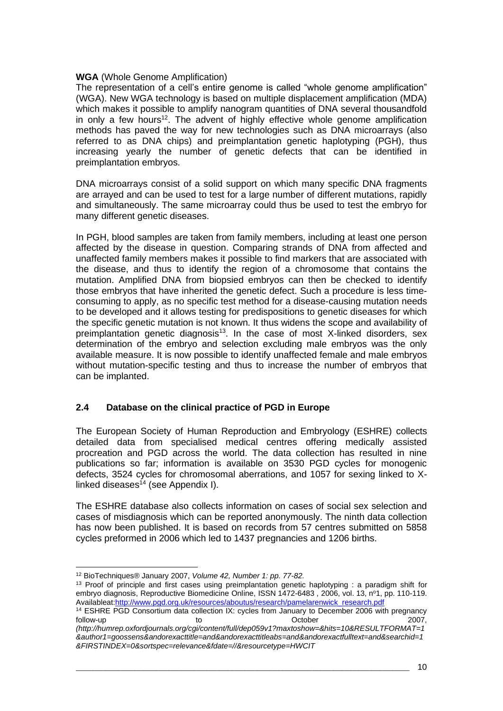#### **WGA** (Whole Genome Amplification)

The representation of a cell's entire genome is called "whole genome amplification" (WGA). New WGA technology is based on multiple displacement amplification (MDA) which makes it possible to amplify nanogram quantities of DNA several thousandfold in only a few hours<sup>12</sup>. The advent of highly effective whole genome amplification methods has paved the way for new technologies such as DNA microarrays (also referred to as DNA chips) and preimplantation genetic haplotyping (PGH), thus increasing yearly the number of genetic defects that can be identified in preimplantation embryos.

DNA microarrays consist of a solid support on which many specific DNA fragments are arrayed and can be used to test for a large number of different mutations, rapidly and simultaneously. The same microarray could thus be used to test the embryo for many different genetic diseases.

In PGH, blood samples are taken from family members, including at least one person affected by the disease in question. Comparing strands of DNA from affected and unaffected family members makes it possible to find markers that are associated with the disease, and thus to identify the region of a chromosome that contains the mutation. Amplified DNA from biopsied embryos can then be checked to identify those embryos that have inherited the genetic defect. Such a procedure is less timeconsuming to apply, as no specific test method for a disease-causing mutation needs to be developed and it allows testing for predispositions to genetic diseases for which the specific genetic mutation is not known. It thus widens the scope and availability of preimplantation genetic diagnosis<sup>13</sup>. In the case of most X-linked disorders, sex determination of the embryo and selection excluding male embryos was the only available measure. It is now possible to identify unaffected female and male embryos without mutation-specific testing and thus to increase the number of embryos that can be implanted.

## <span id="page-9-0"></span>**2.4 Database on the clinical practice of PGD in Europe**

The European Society of Human Reproduction and Embryology (ESHRE) collects detailed data from specialised medical centres offering medically assisted procreation and PGD across the world. The data collection has resulted in nine publications so far; information is available on 3530 PGD cycles for monogenic defects, 3524 cycles for chromosomal aberrations, and 1057 for sexing linked to Xlinked diseases $^{14}$  (see Appendix I).

The ESHRE database also collects information on cases of social sex selection and cases of misdiagnosis which can be reported anonymously. The ninth data collection has now been published. It is based on records from 57 centres submitted on 5858 cycles preformed in 2006 which led to 1437 pregnancies and 1206 births.

<sup>12</sup> BioTechniques® January 2007, *Volume 42, Number 1: pp. 77-82.*

<sup>&</sup>lt;sup>13</sup> Proof of principle and first cases using preimplantation genetic haplotyping : a paradigm shift for embryo diagnosis, Reproductive Biomedicine Online, ISSN 1472-6483, 2006, vol. 13, nº1, pp. 110-119. Availableat[:http://www.pgd.org.uk/resources/aboutus/research/pamelarenwick\\_research.pdf](http://www.pgd.org.uk/resources/aboutus/research/pamelarenwick_research.pdf)

<sup>&</sup>lt;sup>14</sup> ESHRE PGD Consortium data collection IX: cycles from January to December 2006 with pregnancy<br>follow-up **consortium** to Corober 2007. follow-up to October 2007,

*<sup>(</sup>http://humrep.oxfordjournals.org/cgi/content/full/dep059v1?maxtoshow=&hits=10&RESULTFORMAT=1 &author1=goossens&andorexacttitle=and&andorexacttitleabs=and&andorexactfulltext=and&searchid=1 &FIRSTINDEX=0&sortspec=relevance&fdate=//&resourcetype=HWCIT*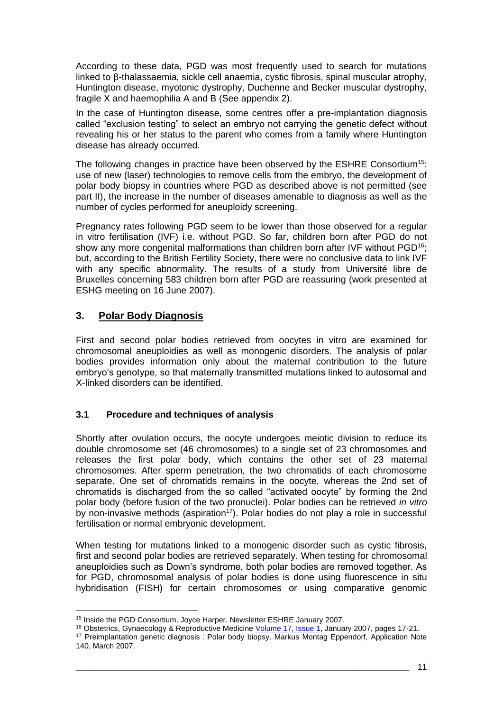According to these data, PGD was most frequently used to search for mutations linked to β-thalassaemia, sickle cell anaemia, cystic fibrosis, spinal muscular atrophy, Huntington disease, myotonic dystrophy, Duchenne and Becker muscular dystrophy, fragile X and haemophilia A and B (See appendix 2).

In the case of Huntington disease, some centres offer a pre-implantation diagnosis called "exclusion testing" to select an embryo not carrying the genetic defect without revealing his or her status to the parent who comes from a family where Huntington disease has already occurred.

The following changes in practice have been observed by the ESHRE Consortium<sup>15</sup>: use of new (laser) technologies to remove cells from the embryo, the development of polar body biopsy in countries where PGD as described above is not permitted (see part II), the increase in the number of diseases amenable to diagnosis as well as the number of cycles performed for aneuploidy screening.

Pregnancy rates following PGD seem to be lower than those observed for a regular in vitro fertilisation (IVF) i.e. without PGD. So far, children born after PGD do not show any more congenital malformations than children born after IVF without PGD<sup>16</sup>; but, according to the British Fertility Society, there were no conclusive data to link IVF with any specific abnormality. The results of a study from Université libre de Bruxelles concerning 583 children born after PGD are reassuring (work presented at ESHG meeting on 16 June 2007).

## <span id="page-10-0"></span>**3. Polar Body Diagnosis**

First and second polar bodies retrieved from oocytes in vitro are examined for chromosomal aneuploidies as well as monogenic disorders. The analysis of polar bodies provides information only about the maternal contribution to the future embryo's genotype, so that maternally transmitted mutations linked to autosomal and X-linked disorders can be identified.

## <span id="page-10-1"></span>**3.1 Procedure and techniques of analysis**

Shortly after ovulation occurs, the oocyte undergoes meiotic division to reduce its double chromosome set (46 chromosomes) to a single set of 23 chromosomes and releases the first polar body, which contains the other set of 23 maternal chromosomes. After sperm penetration, the two chromatids of each chromosome separate. One set of chromatids remains in the oocyte, whereas the 2nd set of chromatids is discharged from the so called "activated oocyte" by forming the 2nd polar body (before fusion of the two pronuclei). Polar bodies can be retrieved *in vitro* by non-invasive methods (aspiration<sup>17</sup>). Polar bodies do not play a role in successful fertilisation or normal embryonic development.

When testing for mutations linked to a monogenic disorder such as cystic fibrosis, first and second polar bodies are retrieved separately. When testing for chromosomal aneuploidies such as Down's syndrome, both polar bodies are removed together. As for PGD, chromosomal analysis of polar bodies is done using fluorescence in situ hybridisation (FISH) for certain chromosomes or using comparative genomic

<sup>15</sup> Inside the PGD Consortium. Joyce Harper. Newsletter ESHRE January 2007.

<sup>16</sup> Obstetrics, Gynaecology & Reproductive Medicine [Volume 17, Issue 1,](http://www.sciencedirect.com/science?_ob=PublicationURL&_tockey=%23TOC%2340100%232007%23999829998%23646640%23FLA%23&_cdi=40100&_pubType=J&view=c&_auth=y&_acct=C000050221&_version=1&_urlVersion=0&_userid=10&md5=ccd495881bee0fd9e78550987278949f) January 2007, pages 17-21. <sup>17</sup> Preimplantation genetic diagnosis : Polar body biopsy. Markus Montag Eppendorf, Application Note 140, March 2007.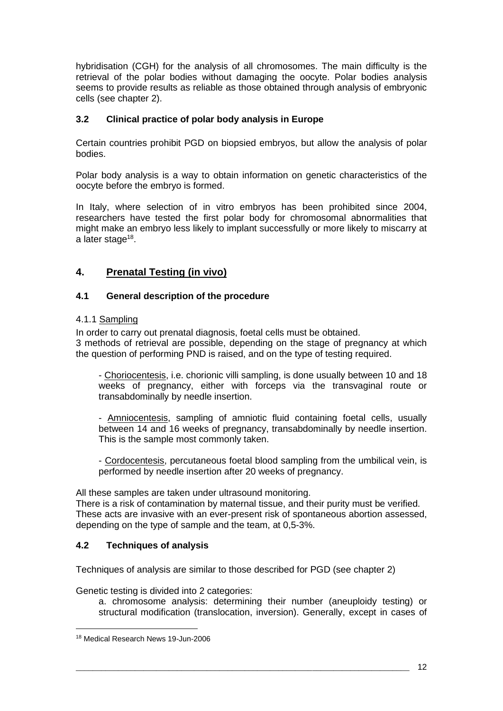hybridisation (CGH) for the analysis of all chromosomes. The main difficulty is the retrieval of the polar bodies without damaging the oocyte. Polar bodies analysis seems to provide results as reliable as those obtained through analysis of embryonic cells (see chapter 2).

## <span id="page-11-0"></span>**3.2 Clinical practice of polar body analysis in Europe**

Certain countries prohibit PGD on biopsied embryos, but allow the analysis of polar bodies.

Polar body analysis is a way to obtain information on genetic characteristics of the oocyte before the embryo is formed.

In Italy, where selection of in vitro embryos has been prohibited since 2004, researchers have tested the first polar body for chromosomal abnormalities that might make an embryo less likely to implant successfully or more likely to miscarry at a later stage<sup>18</sup>.

## <span id="page-11-1"></span>**4. Prenatal Testing (in vivo)**

#### <span id="page-11-2"></span>**4.1 General description of the procedure**

#### <span id="page-11-3"></span>4.1.1 Sampling

In order to carry out prenatal diagnosis, foetal cells must be obtained. 3 methods of retrieval are possible, depending on the stage of pregnancy at which the question of performing PND is raised, and on the type of testing required.

- Choriocentesis, i.e. chorionic villi sampling, is done usually between 10 and 18 weeks of pregnancy, either with forceps via the transvaginal route or transabdominally by needle insertion.

- Amniocentesis, sampling of amniotic fluid containing foetal cells, usually between 14 and 16 weeks of pregnancy, transabdominally by needle insertion. This is the sample most commonly taken.

- Cordocentesis, percutaneous foetal blood sampling from the umbilical vein, is performed by needle insertion after 20 weeks of pregnancy.

All these samples are taken under ultrasound monitoring.

There is a risk of contamination by maternal tissue, and their purity must be verified. These acts are invasive with an ever-present risk of spontaneous abortion assessed, depending on the type of sample and the team, at 0,5-3%.

## <span id="page-11-4"></span>**4.2 Techniques of analysis**

Techniques of analysis are similar to those described for PGD (see chapter 2)

Genetic testing is divided into 2 categories:

a. chromosome analysis: determining their number (aneuploidy testing) or structural modification (translocation, inversion). Generally, except in cases of

<sup>18</sup> Medical Research News 19-Jun-2006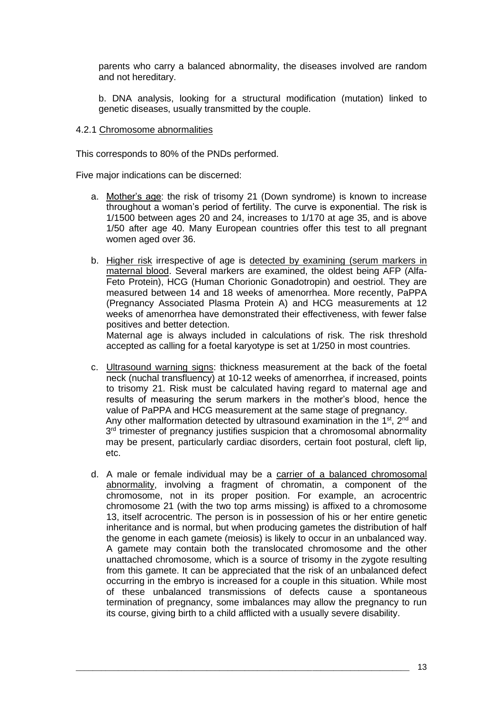parents who carry a balanced abnormality, the diseases involved are random and not hereditary.

b. DNA analysis, looking for a structural modification (mutation) linked to genetic diseases, usually transmitted by the couple.

#### <span id="page-12-0"></span>4.2.1 Chromosome abnormalities

This corresponds to 80% of the PNDs performed.

Five major indications can be discerned:

- a. Mother's age: the risk of trisomy 21 (Down syndrome) is known to increase throughout a woman's period of fertility. The curve is exponential. The risk is 1/1500 between ages 20 and 24, increases to 1/170 at age 35, and is above 1/50 after age 40. Many European countries offer this test to all pregnant women aged over 36.
- b. Higher risk irrespective of age is detected by examining (serum markers in maternal blood. Several markers are examined, the oldest being AFP (Alfa-Feto Protein), HCG (Human Chorionic Gonadotropin) and oestriol. They are measured between 14 and 18 weeks of amenorrhea. More recently, PaPPA (Pregnancy Associated Plasma Protein A) and HCG measurements at 12 weeks of amenorrhea have demonstrated their effectiveness, with fewer false positives and better detection.

Maternal age is always included in calculations of risk. The risk threshold accepted as calling for a foetal karyotype is set at 1/250 in most countries.

- c. Ultrasound warning signs: thickness measurement at the back of the foetal neck (nuchal transfluency) at 10-12 weeks of amenorrhea, if increased, points to trisomy 21. Risk must be calculated having regard to maternal age and results of measuring the serum markers in the mother's blood, hence the value of PaPPA and HCG measurement at the same stage of pregnancy. Any other malformation detected by ultrasound examination in the  $1<sup>st</sup>$ ,  $2<sup>nd</sup>$  and 3<sup>rd</sup> trimester of pregnancy justifies suspicion that a chromosomal abnormality may be present, particularly cardiac disorders, certain foot postural, cleft lip, etc.
- d. A male or female individual may be a carrier of a balanced chromosomal abnormality, involving a fragment of chromatin, a component of the chromosome, not in its proper position. For example, an acrocentric chromosome 21 (with the two top arms missing) is affixed to a chromosome 13, itself acrocentric. The person is in possession of his or her entire genetic inheritance and is normal, but when producing gametes the distribution of half the genome in each gamete (meiosis) is likely to occur in an unbalanced way. A gamete may contain both the translocated chromosome and the other unattached chromosome, which is a source of trisomy in the zygote resulting from this gamete. It can be appreciated that the risk of an unbalanced defect occurring in the embryo is increased for a couple in this situation. While most of these unbalanced transmissions of defects cause a spontaneous termination of pregnancy, some imbalances may allow the pregnancy to run its course, giving birth to a child afflicted with a usually severe disability.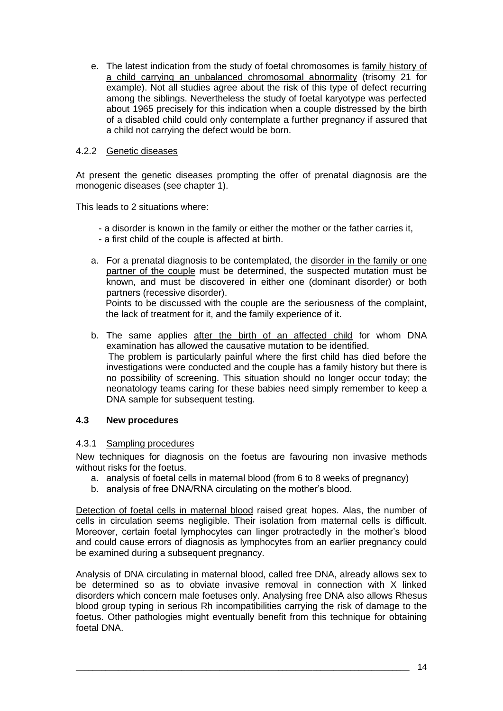e. The latest indication from the study of foetal chromosomes is family history of a child carrying an unbalanced chromosomal abnormality (trisomy 21 for example). Not all studies agree about the risk of this type of defect recurring among the siblings. Nevertheless the study of foetal karyotype was perfected about 1965 precisely for this indication when a couple distressed by the birth of a disabled child could only contemplate a further pregnancy if assured that a child not carrying the defect would be born.

#### <span id="page-13-0"></span>4.2.2 Genetic diseases

At present the genetic diseases prompting the offer of prenatal diagnosis are the monogenic diseases (see chapter 1).

This leads to 2 situations where:

- a disorder is known in the family or either the mother or the father carries it,
- a first child of the couple is affected at birth.
- a. For a prenatal diagnosis to be contemplated, the disorder in the family or one partner of the couple must be determined, the suspected mutation must be known, and must be discovered in either one (dominant disorder) or both partners (recessive disorder).

Points to be discussed with the couple are the seriousness of the complaint, the lack of treatment for it, and the family experience of it.

b. The same applies after the birth of an affected child for whom DNA examination has allowed the causative mutation to be identified. The problem is particularly painful where the first child has died before the investigations were conducted and the couple has a family history but there is no possibility of screening. This situation should no longer occur today; the neonatology teams caring for these babies need simply remember to keep a DNA sample for subsequent testing.

#### <span id="page-13-1"></span>**4.3 New procedures**

#### <span id="page-13-2"></span>4.3.1 Sampling procedures

New techniques for diagnosis on the foetus are favouring non invasive methods without risks for the foetus.

- a. analysis of foetal cells in maternal blood (from 6 to 8 weeks of pregnancy)
- b. analysis of free DNA/RNA circulating on the mother's blood.

Detection of foetal cells in maternal blood raised great hopes. Alas, the number of cells in circulation seems negligible. Their isolation from maternal cells is difficult. Moreover, certain foetal lymphocytes can linger protractedly in the mother's blood and could cause errors of diagnosis as lymphocytes from an earlier pregnancy could be examined during a subsequent pregnancy.

Analysis of DNA circulating in maternal blood, called free DNA, already allows sex to be determined so as to obviate invasive removal in connection with X linked disorders which concern male foetuses only. Analysing free DNA also allows Rhesus blood group typing in serious Rh incompatibilities carrying the risk of damage to the foetus. Other pathologies might eventually benefit from this technique for obtaining foetal DNA.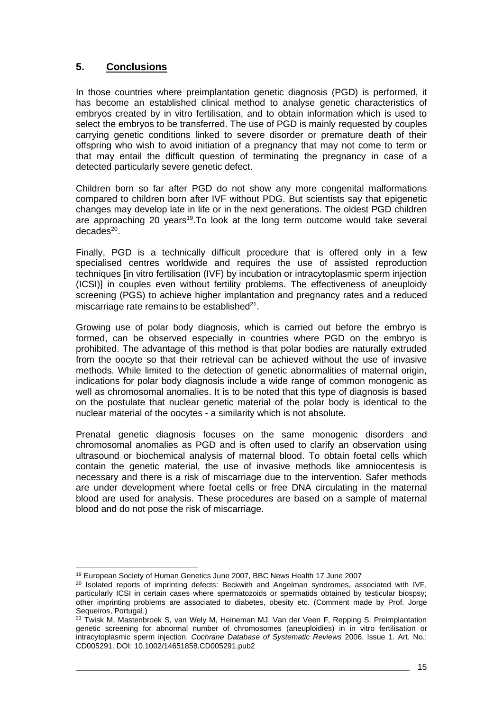# <span id="page-14-0"></span>**5. Conclusions**

In those countries where preimplantation genetic diagnosis (PGD) is performed, it has become an established clinical method to analyse genetic characteristics of embryos created by in vitro fertilisation, and to obtain information which is used to select the embryos to be transferred. The use of PGD is mainly requested by couples carrying genetic conditions linked to severe disorder or premature death of their offspring who wish to avoid initiation of a pregnancy that may not come to term or that may entail the difficult question of terminating the pregnancy in case of a detected particularly severe genetic defect.

Children born so far after PGD do not show any more congenital malformations compared to children born after IVF without PDG. But scientists say that epigenetic changes may develop late in life or in the next generations. The oldest PGD children are approaching 20 years<sup>19</sup>. To look at the long term outcome would take several decades<sup>20</sup>.

Finally, PGD is a technically difficult procedure that is offered only in a few specialised centres worldwide and requires the use of assisted reproduction techniques [in vitro fertilisation (IVF) by incubation or intracytoplasmic sperm injection (ICSI)] in couples even without fertility problems. The effectiveness of aneuploidy screening (PGS) to achieve higher implantation and pregnancy rates and a reduced miscarriage rate remains to be established $21$ .

Growing use of polar body diagnosis, which is carried out before the embryo is formed, can be observed especially in countries where PGD on the embryo is prohibited. The advantage of this method is that polar bodies are naturally extruded from the oocyte so that their retrieval can be achieved without the use of invasive methods. While limited to the detection of genetic abnormalities of maternal origin, indications for polar body diagnosis include a wide range of common monogenic as well as chromosomal anomalies. It is to be noted that this type of diagnosis is based on the postulate that nuclear genetic material of the polar body is identical to the nuclear material of the oocytes - a similarity which is not absolute.

Prenatal genetic diagnosis focuses on the same monogenic disorders and chromosomal anomalies as PGD and is often used to clarify an observation using ultrasound or biochemical analysis of maternal blood. To obtain foetal cells which contain the genetic material, the use of invasive methods like amniocentesis is necessary and there is a risk of miscarriage due to the intervention. Safer methods are under development where foetal cells or free DNA circulating in the maternal blood are used for analysis. These procedures are based on a sample of maternal blood and do not pose the risk of miscarriage.

<sup>19</sup> European Society of Human Genetics June 2007, BBC News Health 17 June 2007

<sup>&</sup>lt;sup>20</sup> Isolated reports of imprinting defects: Beckwith and Angelman syndromes, associated with IVF, particularly ICSI in certain cases where spermatozoids or spermatids obtained by testicular biospsy; other imprinting problems are associated to diabetes, obesity etc. (Comment made by Prof. Jorge Sequeiros, Portugal.)

<sup>&</sup>lt;sup>21</sup> Twisk M, Mastenbroek S, van Wely M, Heineman MJ, Van der Veen F, Repping S. Preimplantation genetic screening for abnormal number of chromosomes (aneuploidies) in in vitro fertilisation or intracytoplasmic sperm injection. *Cochrane Database of Systematic Reviews* 2006, Issue 1. Art. No.: CD005291. DOI: 10.1002/14651858.CD005291.pub2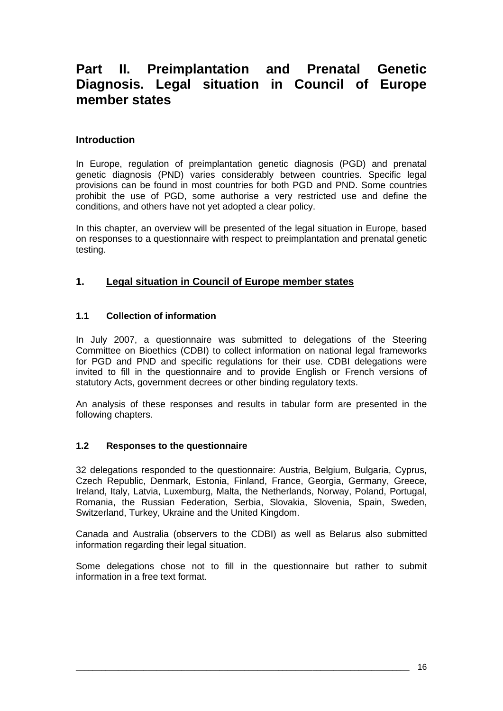# <span id="page-15-0"></span>**Part II. Preimplantation and Prenatal Genetic Diagnosis. Legal situation in Council of Europe member states**

## <span id="page-15-1"></span>**Introduction**

In Europe, regulation of preimplantation genetic diagnosis (PGD) and prenatal genetic diagnosis (PND) varies considerably between countries. Specific legal provisions can be found in most countries for both PGD and PND. Some countries prohibit the use of PGD, some authorise a very restricted use and define the conditions, and others have not yet adopted a clear policy.

In this chapter, an overview will be presented of the legal situation in Europe, based on responses to a questionnaire with respect to preimplantation and prenatal genetic testing.

## <span id="page-15-2"></span>**1. Legal situation in Council of Europe member states**

#### <span id="page-15-3"></span>**1.1 Collection of information**

In July 2007, a questionnaire was submitted to delegations of the Steering Committee on Bioethics (CDBI) to collect information on national legal frameworks for PGD and PND and specific regulations for their use. CDBI delegations were invited to fill in the questionnaire and to provide English or French versions of statutory Acts, government decrees or other binding regulatory texts.

An analysis of these responses and results in tabular form are presented in the following chapters.

#### <span id="page-15-4"></span>**1.2 Responses to the questionnaire**

32 delegations responded to the questionnaire: Austria, Belgium, Bulgaria, Cyprus, Czech Republic, Denmark, Estonia, Finland, France, Georgia, Germany, Greece, Ireland, Italy, Latvia, Luxemburg, Malta, the Netherlands, Norway, Poland, Portugal, Romania, the Russian Federation, Serbia, Slovakia, Slovenia, Spain, Sweden, Switzerland, Turkey, Ukraine and the United Kingdom.

Canada and Australia (observers to the CDBI) as well as Belarus also submitted information regarding their legal situation.

<span id="page-15-5"></span>Some delegations chose not to fill in the questionnaire but rather to submit information in a free text format.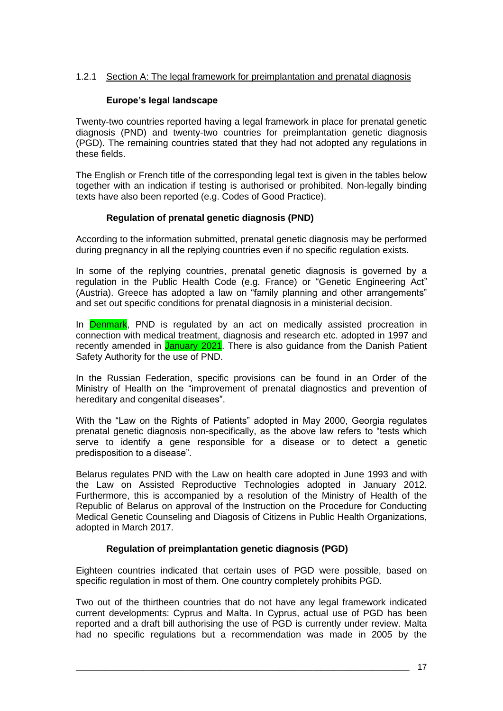## 1.2.1 Section A: The legal framework for preimplantation and prenatal diagnosis

#### **Europe's legal landscape**

Twenty-two countries reported having a legal framework in place for prenatal genetic diagnosis (PND) and twenty-two countries for preimplantation genetic diagnosis (PGD). The remaining countries stated that they had not adopted any regulations in these fields.

The English or French title of the corresponding legal text is given in the tables below together with an indication if testing is authorised or prohibited. Non-legally binding texts have also been reported (e.g. Codes of Good Practice).

## **Regulation of prenatal genetic diagnosis (PND)**

According to the information submitted, prenatal genetic diagnosis may be performed during pregnancy in all the replying countries even if no specific regulation exists.

In some of the replying countries, prenatal genetic diagnosis is governed by a regulation in the Public Health Code (e.g. France) or "Genetic Engineering Act" (Austria). Greece has adopted a law on "family planning and other arrangements" and set out specific conditions for prenatal diagnosis in a ministerial decision.

In **Denmark**, PND is regulated by an act on medically assisted procreation in connection with medical treatment, diagnosis and research etc. adopted in 1997 and recently amended in January 2021. There is also guidance from the Danish Patient Safety Authority for the use of PND.

In the Russian Federation, specific provisions can be found in an Order of the Ministry of Health on the "improvement of prenatal diagnostics and prevention of hereditary and congenital diseases".

With the "Law on the Rights of Patients" adopted in May 2000, Georgia regulates prenatal genetic diagnosis non-specifically, as the above law refers to "tests which serve to identify a gene responsible for a disease or to detect a genetic predisposition to a disease".

Belarus regulates PND with the Law on health care adopted in June 1993 and with the Law on Assisted Reproductive Technologies adopted in January 2012. Furthermore, this is accompanied by a resolution of the Ministry of Health of the Republic of Belarus on approval of the Instruction on the Procedure for Conducting Medical Genetic Counseling and Diagosis of Citizens in Public Health Organizations, adopted in March 2017.

## **Regulation of preimplantation genetic diagnosis (PGD)**

Eighteen countries indicated that certain uses of PGD were possible, based on specific regulation in most of them. One country completely prohibits PGD.

Two out of the thirtheen countries that do not have any legal framework indicated current developments: Cyprus and Malta. In Cyprus, actual use of PGD has been reported and a draft bill authorising the use of PGD is currently under review. Malta had no specific regulations but a recommendation was made in 2005 by the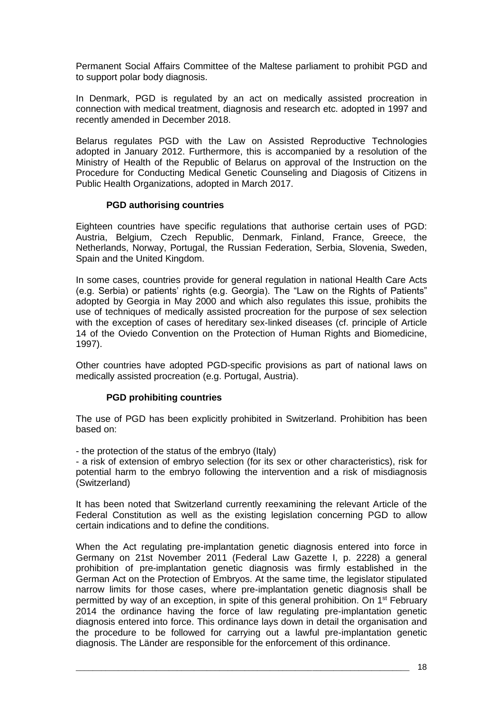Permanent Social Affairs Committee of the Maltese parliament to prohibit PGD and to support polar body diagnosis.

In Denmark, PGD is regulated by an act on medically assisted procreation in connection with medical treatment, diagnosis and research etc. adopted in 1997 and recently amended in December 2018.

Belarus regulates PGD with the Law on Assisted Reproductive Technologies adopted in January 2012. Furthermore, this is accompanied by a resolution of the Ministry of Health of the Republic of Belarus on approval of the Instruction on the Procedure for Conducting Medical Genetic Counseling and Diagosis of Citizens in Public Health Organizations, adopted in March 2017.

#### **PGD authorising countries**

Eighteen countries have specific regulations that authorise certain uses of PGD: Austria, Belgium, Czech Republic, Denmark, Finland, France, Greece, the Netherlands, Norway, Portugal, the Russian Federation, Serbia, Slovenia, Sweden, Spain and the United Kingdom.

In some cases, countries provide for general regulation in national Health Care Acts (e.g. Serbia) or patients' rights (e.g. Georgia). The "Law on the Rights of Patients" adopted by Georgia in May 2000 and which also regulates this issue, prohibits the use of techniques of medically assisted procreation for the purpose of sex selection with the exception of cases of hereditary sex-linked diseases (cf. principle of Article 14 of the Oviedo Convention on the Protection of Human Rights and Biomedicine, 1997).

Other countries have adopted PGD-specific provisions as part of national laws on medically assisted procreation (e.g. Portugal, Austria).

#### **PGD prohibiting countries**

The use of PGD has been explicitly prohibited in Switzerland. Prohibition has been based on:

- the protection of the status of the embryo (Italy)

- a risk of extension of embryo selection (for its sex or other characteristics), risk for potential harm to the embryo following the intervention and a risk of misdiagnosis (Switzerland)

It has been noted that Switzerland currently reexamining the relevant Article of the Federal Constitution as well as the existing legislation concerning PGD to allow certain indications and to define the conditions.

When the Act regulating pre-implantation genetic diagnosis entered into force in Germany on 21st November 2011 (Federal Law Gazette I, p. 2228) a general prohibition of pre-implantation genetic diagnosis was firmly established in the German Act on the Protection of Embryos. At the same time, the legislator stipulated narrow limits for those cases, where pre-implantation genetic diagnosis shall be permitted by way of an exception, in spite of this general prohibition. On 1<sup>st</sup> February 2014 the ordinance having the force of law regulating pre-implantation genetic diagnosis entered into force. This ordinance lays down in detail the organisation and the procedure to be followed for carrying out a lawful pre-implantation genetic diagnosis. The Länder are responsible for the enforcement of this ordinance.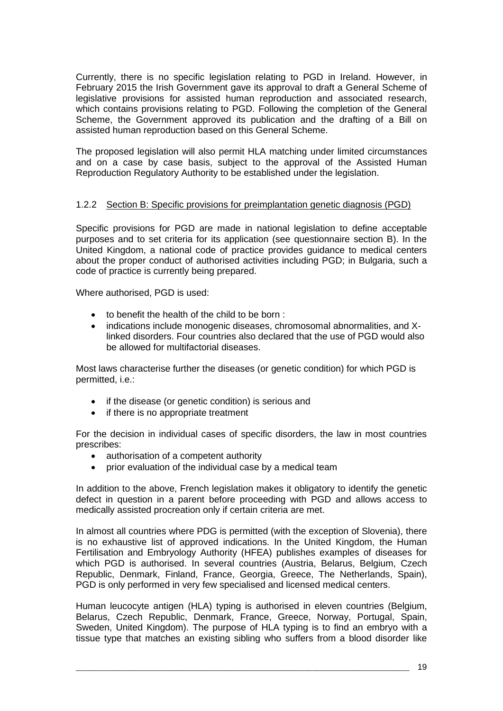Currently, there is no specific legislation relating to PGD in Ireland. However, in February 2015 the Irish Government gave its approval to draft a General Scheme of legislative provisions for assisted human reproduction and associated research, which contains provisions relating to PGD. Following the completion of the General Scheme, the Government approved its publication and the drafting of a Bill on assisted human reproduction based on this General Scheme.

The proposed legislation will also permit HLA matching under limited circumstances and on a case by case basis, subject to the approval of the Assisted Human Reproduction Regulatory Authority to be established under the legislation.

#### <span id="page-18-0"></span>1.2.2 Section B: Specific provisions for preimplantation genetic diagnosis (PGD)

Specific provisions for PGD are made in national legislation to define acceptable purposes and to set criteria for its application (see questionnaire section B). In the United Kingdom, a national code of practice provides guidance to medical centers about the proper conduct of authorised activities including PGD; in Bulgaria, such a code of practice is currently being prepared.

Where authorised, PGD is used:

- to benefit the health of the child to be born :
- indications include monogenic diseases, chromosomal abnormalities, and Xlinked disorders. Four countries also declared that the use of PGD would also be allowed for multifactorial diseases.

Most laws characterise further the diseases (or genetic condition) for which PGD is permitted, i.e.:

- if the disease (or genetic condition) is serious and
- if there is no appropriate treatment

For the decision in individual cases of specific disorders, the law in most countries prescribes:

- authorisation of a competent authority
- prior evaluation of the individual case by a medical team

In addition to the above, French legislation makes it obligatory to identify the genetic defect in question in a parent before proceeding with PGD and allows access to medically assisted procreation only if certain criteria are met.

In almost all countries where PDG is permitted (with the exception of Slovenia), there is no exhaustive list of approved indications. In the United Kingdom, the Human Fertilisation and Embryology Authority (HFEA) publishes examples of diseases for which PGD is authorised. In several countries (Austria, Belarus, Belgium, Czech Republic, Denmark, Finland, France, Georgia, Greece, The Netherlands, Spain), PGD is only performed in very few specialised and licensed medical centers.

Human leucocyte antigen (HLA) typing is authorised in eleven countries (Belgium, Belarus, Czech Republic, Denmark, France, Greece, Norway, Portugal, Spain, Sweden, United Kingdom). The purpose of HLA typing is to find an embryo with a tissue type that matches an existing sibling who suffers from a blood disorder like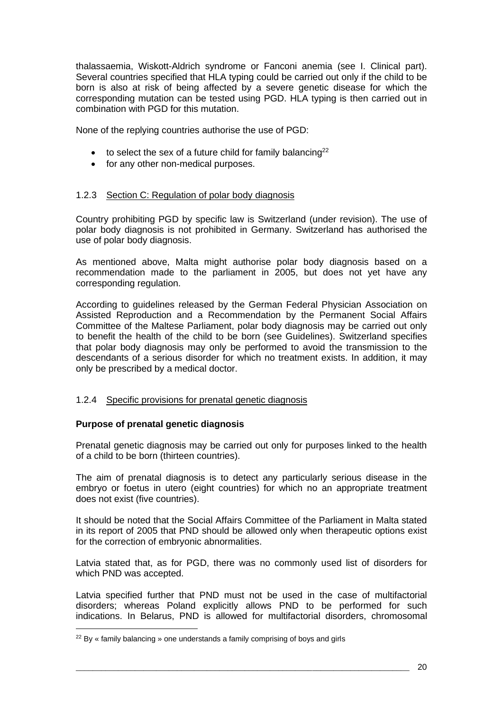thalassaemia, Wiskott-Aldrich syndrome or Fanconi anemia (see I. Clinical part). Several countries specified that HLA typing could be carried out only if the child to be born is also at risk of being affected by a severe genetic disease for which the corresponding mutation can be tested using PGD. HLA typing is then carried out in combination with PGD for this mutation.

None of the replying countries authorise the use of PGD:

- $\bullet$  to select the sex of a future child for family balancing<sup>22</sup>
- for any other non-medical purposes.

#### <span id="page-19-0"></span>1.2.3 Section C: Regulation of polar body diagnosis

Country prohibiting PGD by specific law is Switzerland (under revision). The use of polar body diagnosis is not prohibited in Germany. Switzerland has authorised the use of polar body diagnosis.

As mentioned above, Malta might authorise polar body diagnosis based on a recommendation made to the parliament in 2005, but does not yet have any corresponding regulation.

According to guidelines released by the German Federal Physician Association on Assisted Reproduction and a Recommendation by the Permanent Social Affairs Committee of the Maltese Parliament, polar body diagnosis may be carried out only to benefit the health of the child to be born (see Guidelines). Switzerland specifies that polar body diagnosis may only be performed to avoid the transmission to the descendants of a serious disorder for which no treatment exists. In addition, it may only be prescribed by a medical doctor.

#### <span id="page-19-1"></span>1.2.4 Specific provisions for prenatal genetic diagnosis

#### **Purpose of prenatal genetic diagnosis**

Prenatal genetic diagnosis may be carried out only for purposes linked to the health of a child to be born (thirteen countries).

The aim of prenatal diagnosis is to detect any particularly serious disease in the embryo or foetus in utero (eight countries) for which no an appropriate treatment does not exist (five countries).

It should be noted that the Social Affairs Committee of the Parliament in Malta stated in its report of 2005 that PND should be allowed only when therapeutic options exist for the correction of embryonic abnormalities.

Latvia stated that, as for PGD, there was no commonly used list of disorders for which PND was accepted.

Latvia specified further that PND must not be used in the case of multifactorial disorders; whereas Poland explicitly allows PND to be performed for such indications. In Belarus, PND is allowed for multifactorial disorders, chromosomal

 $22$  By « family balancing » one understands a family comprising of boys and girls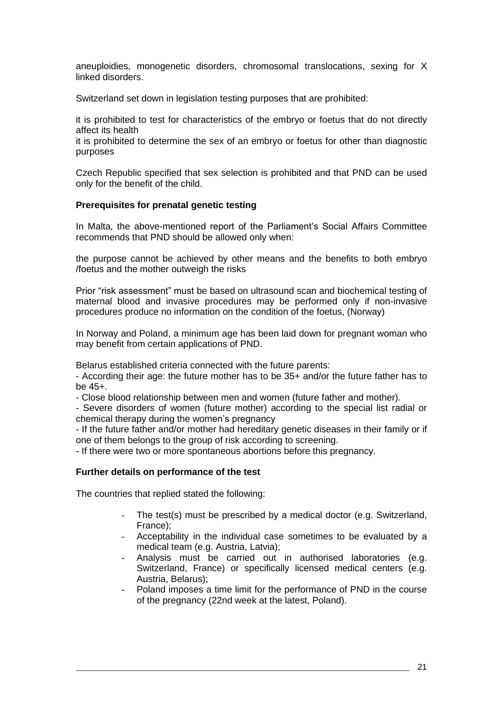aneuploidies, monogenetic disorders, chromosomal translocations, sexing for X linked disorders.

Switzerland set down in legislation testing purposes that are prohibited:

it is prohibited to test for characteristics of the embryo or foetus that do not directly affect its health

it is prohibited to determine the sex of an embryo or foetus for other than diagnostic purposes

Czech Republic specified that sex selection is prohibited and that PND can be used only for the benefit of the child.

#### **Prerequisites for prenatal genetic testing**

In Malta, the above-mentioned report of the Parliament's Social Affairs Committee recommends that PND should be allowed only when:

the purpose cannot be achieved by other means and the benefits to both embryo /foetus and the mother outweigh the risks

Prior "risk assessment" must be based on ultrasound scan and biochemical testing of maternal blood and invasive procedures may be performed only if non-invasive procedures produce no information on the condition of the foetus, (Norway)

In Norway and Poland, a minimum age has been laid down for pregnant woman who may benefit from certain applications of PND.

Belarus established criteria connected with the future parents:

- According their age: the future mother has to be 35+ and/or the future father has to be 45+.

- Close blood relationship between men and women (future father and mother).

- Severe disorders of women (future mother) according to the special list radial or chemical therapy during the women's pregnancy

- If the future father and/or mother had hereditary genetic diseases in their family or if one of them belongs to the group of risk according to screening.

- If there were two or more spontaneous abortions before this pregnancy.

#### **Further details on performance of the test**

The countries that replied stated the following:

- The test(s) must be prescribed by a medical doctor (e.g. Switzerland, France);
- Acceptability in the individual case sometimes to be evaluated by a medical team (e.g. Austria, Latvia);
- Analysis must be carried out in authorised laboratories (e.g. Switzerland, France) or specifically licensed medical centers (e.g. Austria, Belarus);
- Poland imposes a time limit for the performance of PND in the course of the pregnancy (22nd week at the latest, Poland).

\_\_\_\_\_\_\_\_\_\_\_\_\_\_\_\_\_\_\_\_\_\_\_\_\_\_\_\_\_\_\_\_\_\_\_\_\_\_\_\_\_\_\_\_\_\_\_\_\_\_\_\_\_\_\_\_\_\_\_\_\_\_\_\_\_\_\_\_\_\_\_\_\_\_\_\_\_\_\_ 21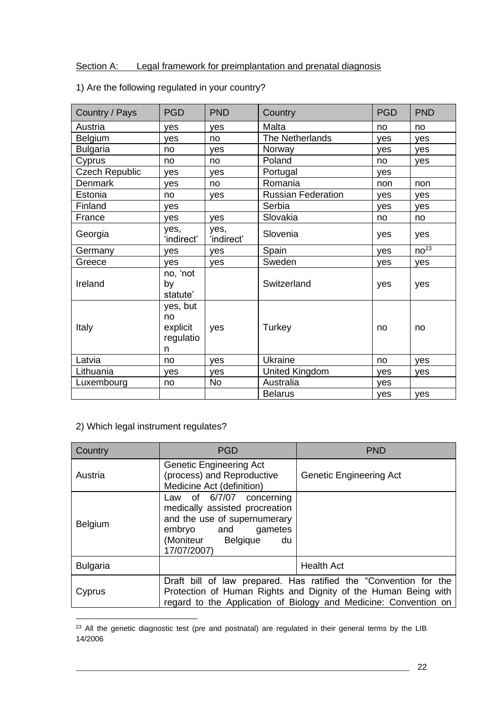# Section A: Legal framework for preimplantation and prenatal diagnosis

| Country / Pays        | <b>PGD</b>                                   | <b>PND</b>         | Country                   | <b>PGD</b> | <b>PND</b>       |
|-----------------------|----------------------------------------------|--------------------|---------------------------|------------|------------------|
| Austria               | yes                                          | yes                | Malta                     | no         | no               |
| Belgium               | yes                                          | no                 | The Netherlands           | ves        | ves              |
| <b>Bulgaria</b>       | no                                           | yes                | Norway                    | yes        | yes              |
| Cyprus                | no                                           | no                 | Poland                    | no         | ves              |
| <b>Czech Republic</b> | yes                                          | yes                | Portugal                  | <b>ves</b> |                  |
| <b>Denmark</b>        | ves                                          | no                 | Romania                   | non        | non              |
| Estonia               | no                                           | ves                | <b>Russian Federation</b> | ves        | ves              |
| Finland               | ves                                          |                    | Serbia                    | yes        | <b>ves</b>       |
| France                | ves                                          | yes                | Slovakia                  | no         | no               |
| Georgia               | yes,<br>'indirect'                           | yes,<br>'indirect' | Slovenia                  | yes        | yes              |
| Germany               | ves                                          | ves                | Spain                     | yes        | no <sup>23</sup> |
| Greece                | ves                                          | ves                | Sweden                    | yes        | yes              |
| Ireland               | no, 'not<br>by<br>statute'                   |                    | Switzerland               | yes        | yes              |
| Italy                 | yes, but<br>no<br>explicit<br>regulatio<br>n | yes                | Turkey                    | no         | no               |
| Latvia                | no                                           | ves                | Ukraine                   | no         | yes              |
| Lithuania             | ves                                          | yes                | <b>United Kingdom</b>     | ves        | yes              |
| Luxembourg            | no                                           | No                 | Australia                 | yes        |                  |
|                       |                                              |                    | <b>Belarus</b>            | yes        | yes              |

1) Are the following regulated in your country?

# 2) Which legal instrument regulates?

| Country         | <b>PGD</b>                                                                                                                                                               | <b>PND</b>                                                                                                                                                                                             |  |  |  |  |  |  |
|-----------------|--------------------------------------------------------------------------------------------------------------------------------------------------------------------------|--------------------------------------------------------------------------------------------------------------------------------------------------------------------------------------------------------|--|--|--|--|--|--|
| Austria         | <b>Genetic Engineering Act</b><br>(process) and Reproductive<br>Medicine Act (definition)                                                                                | <b>Genetic Engineering Act</b>                                                                                                                                                                         |  |  |  |  |  |  |
| Belgium         | Law of 6/7/07 concerning<br>medically assisted procreation<br>and the use of supernumerary<br>embryo and<br>gametes<br>(Moniteur<br><b>Belgique</b><br>du<br>17/07/2007) |                                                                                                                                                                                                        |  |  |  |  |  |  |
| <b>Bulgaria</b> |                                                                                                                                                                          | <b>Health Act</b>                                                                                                                                                                                      |  |  |  |  |  |  |
| Cyprus          |                                                                                                                                                                          | Draft bill of law prepared. Has ratified the "Convention for the<br>Protection of Human Rights and Dignity of the Human Being with<br>regard to the Application of Biology and Medicine: Convention on |  |  |  |  |  |  |

<sup>&</sup>lt;sup>23</sup> All the genetic diagnostic test (pre and postnatal) are regulated in their general terms by the LIB 14/2006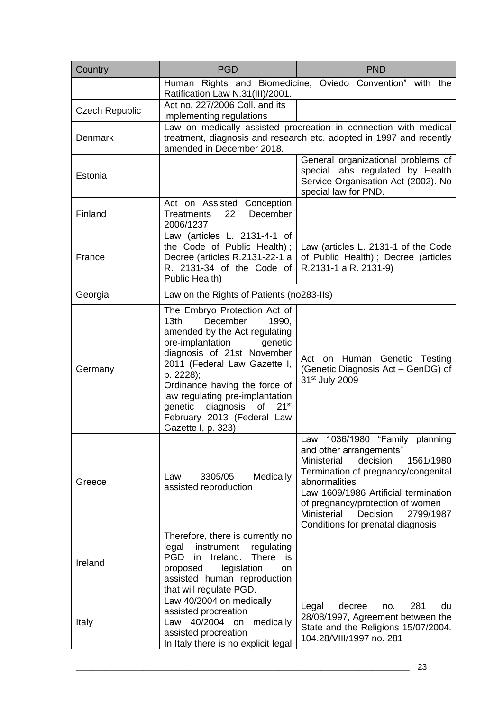| Country               | <b>PGD</b>                                                                                                                                                                                                                                                                                                                                                                       | <b>PND</b>                                                                                                                                                                                                                                                                                                                       |  |  |  |  |
|-----------------------|----------------------------------------------------------------------------------------------------------------------------------------------------------------------------------------------------------------------------------------------------------------------------------------------------------------------------------------------------------------------------------|----------------------------------------------------------------------------------------------------------------------------------------------------------------------------------------------------------------------------------------------------------------------------------------------------------------------------------|--|--|--|--|
|                       | Ratification Law N.31(III)/2001.                                                                                                                                                                                                                                                                                                                                                 | Human Rights and Biomedicine, Oviedo Convention" with the                                                                                                                                                                                                                                                                        |  |  |  |  |
| <b>Czech Republic</b> | Act no. 227/2006 Coll. and its<br>implementing regulations                                                                                                                                                                                                                                                                                                                       |                                                                                                                                                                                                                                                                                                                                  |  |  |  |  |
| Denmark               | amended in December 2018.                                                                                                                                                                                                                                                                                                                                                        | Law on medically assisted procreation in connection with medical<br>treatment, diagnosis and research etc. adopted in 1997 and recently                                                                                                                                                                                          |  |  |  |  |
| Estonia               |                                                                                                                                                                                                                                                                                                                                                                                  | General organizational problems of<br>special labs regulated by Health<br>Service Organisation Act (2002). No<br>special law for PND.                                                                                                                                                                                            |  |  |  |  |
| Finland               | Act on Assisted Conception<br>December<br>22<br>Treatments<br>2006/1237                                                                                                                                                                                                                                                                                                          |                                                                                                                                                                                                                                                                                                                                  |  |  |  |  |
| France                | Law (articles L. 2131-4-1 of<br>the Code of Public Health);<br>Decree (articles R.2131-22-1 a<br>R. 2131-34 of the Code of<br>Public Health)                                                                                                                                                                                                                                     | Law (articles L. 2131-1 of the Code<br>of Public Health); Decree (articles<br>R.2131-1 a R. 2131-9)                                                                                                                                                                                                                              |  |  |  |  |
| Georgia               | Law on the Rights of Patients (no283-Ils)                                                                                                                                                                                                                                                                                                                                        |                                                                                                                                                                                                                                                                                                                                  |  |  |  |  |
| Germany               | The Embryo Protection Act of<br>13 <sub>th</sub><br>December<br>1990,<br>amended by the Act regulating<br>pre-implantation<br>genetic<br>diagnosis of 21st November<br>2011 (Federal Law Gazette I,<br>p. 2228);<br>Ordinance having the force of<br>law regulating pre-implantation<br>genetic<br>diagnosis of<br>$21^{st}$<br>February 2013 (Federal Law<br>Gazette I, p. 323) | Act on Human Genetic Testing<br>(Genetic Diagnosis Act - GenDG) of<br>31 <sup>st</sup> July 2009                                                                                                                                                                                                                                 |  |  |  |  |
| Greece                | 3305/05<br>Medically<br>Law<br>assisted reproduction                                                                                                                                                                                                                                                                                                                             | Law 1036/1980 "Family planning<br>and other arrangements"<br>decision<br><b>Ministerial</b><br>1561/1980<br>Termination of pregnancy/congenital<br>abnormalities<br>Law 1609/1986 Artificial termination<br>of pregnancy/protection of women<br><b>Ministerial</b><br>Decision<br>2799/1987<br>Conditions for prenatal diagnosis |  |  |  |  |
| Ireland               | Therefore, there is currently no<br>legal<br>instrument<br>regulating<br><b>PGD</b><br><b>There</b><br>Ireland.<br>in.<br>is<br>legislation<br>proposed<br><b>on</b><br>assisted human reproduction<br>that will regulate PGD.                                                                                                                                                   |                                                                                                                                                                                                                                                                                                                                  |  |  |  |  |
| Italy                 | Law 40/2004 on medically<br>assisted procreation<br>Law 40/2004 on<br>medically<br>assisted procreation<br>In Italy there is no explicit legal                                                                                                                                                                                                                                   | 281<br>Legal<br>decree<br>du<br>no.<br>28/08/1997, Agreement between the<br>State and the Religions 15/07/2004.<br>104.28/VIII/1997 no. 281                                                                                                                                                                                      |  |  |  |  |

 $\frac{23}{\sqrt{2}}$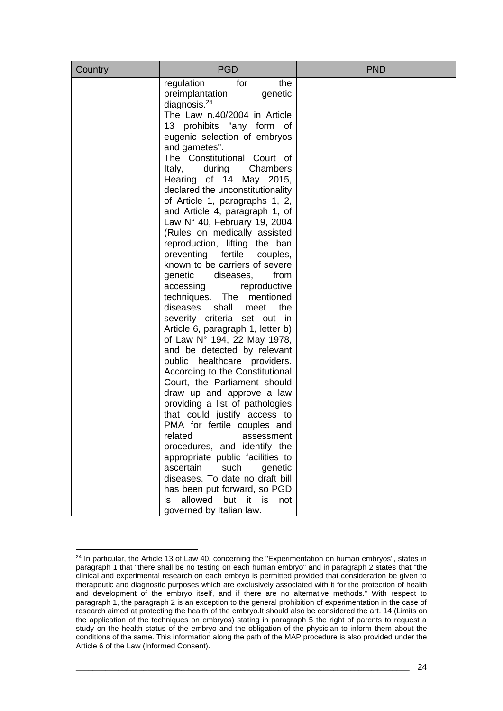| Country | <b>PGD</b>                                                         | <b>PND</b> |
|---------|--------------------------------------------------------------------|------------|
|         | regulation<br>the<br>for                                           |            |
|         | preimplantation<br>genetic<br>diagnosis. <sup>24</sup>             |            |
|         | The Law n.40/2004 in Article                                       |            |
|         | 13 prohibits "any form of                                          |            |
|         | eugenic selection of embryos                                       |            |
|         | and gametes".                                                      |            |
|         | The Constitutional Court of                                        |            |
|         | Italy,<br>Chambers<br>during                                       |            |
|         | Hearing of 14 May 2015,                                            |            |
|         | declared the unconstitutionality                                   |            |
|         | of Article 1, paragraphs 1, 2,                                     |            |
|         | and Article 4, paragraph 1, of                                     |            |
|         | Law N° 40, February 19, 2004                                       |            |
|         | (Rules on medically assisted                                       |            |
|         | reproduction, lifting the ban<br>preventing<br>fertile<br>couples, |            |
|         | known to be carriers of severe                                     |            |
|         | genetic<br>diseases,<br>from                                       |            |
|         | accessing<br>reproductive                                          |            |
|         | techniques. The mentioned                                          |            |
|         | diseases<br>shall<br>the<br>meet                                   |            |
|         | severity criteria set out in                                       |            |
|         | Article 6, paragraph 1, letter b)                                  |            |
|         | of Law N° 194, 22 May 1978,                                        |            |
|         | and be detected by relevant                                        |            |
|         | public healthcare providers.                                       |            |
|         | According to the Constitutional<br>Court, the Parliament should    |            |
|         | draw up and approve a law                                          |            |
|         | providing a list of pathologies                                    |            |
|         | that could justify access to                                       |            |
|         | PMA for fertile couples and                                        |            |
|         | related<br>assessment                                              |            |
|         | procedures, and identify the                                       |            |
|         | appropriate public facilities to                                   |            |
|         | such<br>ascertain<br>genetic                                       |            |
|         | diseases. To date no draft bill                                    |            |
|         | has been put forward, so PGD                                       |            |
|         | allowed but it is<br>not<br>is                                     |            |
|         | governed by Italian law.                                           |            |

<sup>&</sup>lt;sup>24</sup> In particular, the Article 13 of Law 40, concerning the "Experimentation on human embryos", states in paragraph 1 that "there shall be no testing on each human embryo" and in paragraph 2 states that "the clinical and experimental research on each embryo is permitted provided that consideration be given to therapeutic and diagnostic purposes which are exclusively associated with it for the protection of health and development of the embryo itself, and if there are no alternative methods." With respect to paragraph 1, the paragraph 2 is an exception to the general prohibition of experimentation in the case of research aimed at protecting the health of the embryo.It should also be considered the art. 14 (Limits on the application of the techniques on embryos) stating in paragraph 5 the right of parents to request a study on the health status of the embryo and the obligation of the physician to inform them about the conditions of the same. This information along the path of the MAP procedure is also provided under the Article 6 of the Law (Informed Consent).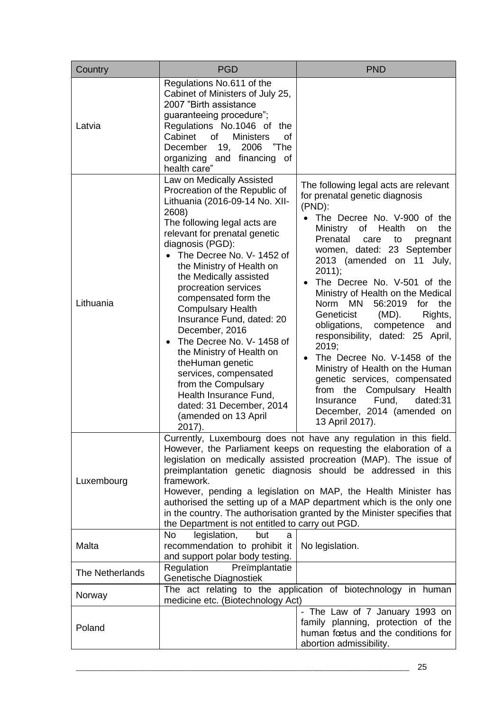| Country         | <b>PGD</b>                                                                                                                                                                                                                                                                                                                                                                                                                                                                                                                                                                                                                         | <b>PND</b>                                                                                                                                                                                                                                                                                                                                                                                                                                                                                                                                                                                                                                                                                                                                                  |
|-----------------|------------------------------------------------------------------------------------------------------------------------------------------------------------------------------------------------------------------------------------------------------------------------------------------------------------------------------------------------------------------------------------------------------------------------------------------------------------------------------------------------------------------------------------------------------------------------------------------------------------------------------------|-------------------------------------------------------------------------------------------------------------------------------------------------------------------------------------------------------------------------------------------------------------------------------------------------------------------------------------------------------------------------------------------------------------------------------------------------------------------------------------------------------------------------------------------------------------------------------------------------------------------------------------------------------------------------------------------------------------------------------------------------------------|
| Latvia          | Regulations No.611 of the<br>Cabinet of Ministers of July 25,<br>2007 "Birth assistance<br>guaranteeing procedure";<br>Regulations No.1046 of the<br>Cabinet<br><b>Ministers</b><br>0f<br>οf<br>"The<br>19,<br>2006<br>December<br>organizing and financing<br>0f<br>health care"                                                                                                                                                                                                                                                                                                                                                  |                                                                                                                                                                                                                                                                                                                                                                                                                                                                                                                                                                                                                                                                                                                                                             |
| Lithuania       | Law on Medically Assisted<br>Procreation of the Republic of<br>Lithuania (2016-09-14 No. XII-<br>2608)<br>The following legal acts are<br>relevant for prenatal genetic<br>diagnosis (PGD):<br>The Decree No. V- 1452 of<br>the Ministry of Health on<br>the Medically assisted<br>procreation services<br>compensated form the<br><b>Compulsary Health</b><br>Insurance Fund, dated: 20<br>December, 2016<br>The Decree No. V-1458 of<br>the Ministry of Health on<br>theHuman genetic<br>services, compensated<br>from the Compulsary<br>Health Insurance Fund,<br>dated: 31 December, 2014<br>(amended on 13 April<br>$2017$ ). | The following legal acts are relevant<br>for prenatal genetic diagnosis<br>$(PND)$ :<br>The Decree No. V-900 of the<br>$\bullet$<br>Ministry<br>Health<br>the<br>of<br><b>on</b><br>Prenatal<br>pregnant<br>care<br>to<br>women, dated: 23 September<br>2013 (amended on 11 July,<br>$2011$ ;<br>The Decree No. V-501 of the<br>Ministry of Health on the Medical<br>Norm<br><b>MN</b><br>56:2019<br>for<br>the<br>Geneticist<br>(MD).<br>Rights,<br>obligations,<br>competence<br>and<br>responsibility, dated: 25 April,<br>2019;<br>The Decree No. V-1458 of the<br>Ministry of Health on the Human<br>genetic services, compensated<br>Compulsary Health<br>from the<br>Fund,<br>dated:31<br>Insurance<br>December, 2014 (amended on<br>13 April 2017). |
| Luxembourg      | framework.<br>the Department is not entitled to carry out PGD.                                                                                                                                                                                                                                                                                                                                                                                                                                                                                                                                                                     | Currently, Luxembourg does not have any regulation in this field.<br>However, the Parliament keeps on requesting the elaboration of a<br>legislation on medically assisted procreation (MAP). The issue of<br>preimplantation genetic diagnosis should be addressed in this<br>However, pending a legislation on MAP, the Health Minister has<br>authorised the setting up of a MAP department which is the only one<br>in the country. The authorisation granted by the Minister specifies that                                                                                                                                                                                                                                                            |
| Malta           | No<br>legislation,<br>but<br>a<br>recommendation to prohibit it<br>and support polar body testing.                                                                                                                                                                                                                                                                                                                                                                                                                                                                                                                                 | No legislation.                                                                                                                                                                                                                                                                                                                                                                                                                                                                                                                                                                                                                                                                                                                                             |
| The Netherlands | Preïmplantatie<br>Regulation<br>Genetische Diagnostiek                                                                                                                                                                                                                                                                                                                                                                                                                                                                                                                                                                             |                                                                                                                                                                                                                                                                                                                                                                                                                                                                                                                                                                                                                                                                                                                                                             |
| Norway          | medicine etc. (Biotechnology Act)                                                                                                                                                                                                                                                                                                                                                                                                                                                                                                                                                                                                  | The act relating to the application of biotechnology in human                                                                                                                                                                                                                                                                                                                                                                                                                                                                                                                                                                                                                                                                                               |
| Poland          |                                                                                                                                                                                                                                                                                                                                                                                                                                                                                                                                                                                                                                    | - The Law of 7 January 1993 on<br>family planning, protection of the<br>human fœtus and the conditions for<br>abortion admissibility.                                                                                                                                                                                                                                                                                                                                                                                                                                                                                                                                                                                                                       |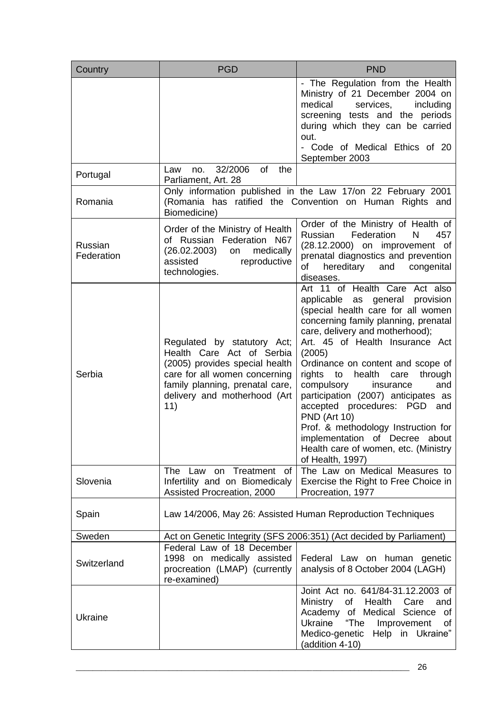| Country               | <b>PGD</b>                                                                                                                                                                                            | <b>PND</b>                                                                                                                                                                                                                                                                                                                                                                                                                                                                                                                                                                                |  |  |  |
|-----------------------|-------------------------------------------------------------------------------------------------------------------------------------------------------------------------------------------------------|-------------------------------------------------------------------------------------------------------------------------------------------------------------------------------------------------------------------------------------------------------------------------------------------------------------------------------------------------------------------------------------------------------------------------------------------------------------------------------------------------------------------------------------------------------------------------------------------|--|--|--|
|                       |                                                                                                                                                                                                       | - The Regulation from the Health<br>Ministry of 21 December 2004 on<br>medical<br>services,<br>including<br>screening tests and the periods<br>during which they can be carried<br>out.<br>- Code of Medical Ethics of 20<br>September 2003                                                                                                                                                                                                                                                                                                                                               |  |  |  |
| Portugal              | 32/2006<br>of<br>the<br>Law<br>no.<br>Parliament, Art. 28                                                                                                                                             |                                                                                                                                                                                                                                                                                                                                                                                                                                                                                                                                                                                           |  |  |  |
| Romania               | Biomedicine)                                                                                                                                                                                          | Only information published in the Law 17/on 22 February 2001<br>(Romania has ratified the Convention on Human Rights and                                                                                                                                                                                                                                                                                                                                                                                                                                                                  |  |  |  |
| Russian<br>Federation | Order of the Ministry of Health<br>of Russian Federation N67<br>(26.02.2003)<br>medically<br>on<br>assisted<br>reproductive<br>technologies.                                                          | Order of the Ministry of Health of<br>Russian<br>Federation<br>N<br>457<br>(28.12.2000) on improvement of<br>prenatal diagnostics and prevention<br>of<br>hereditary and congenital<br>diseases.                                                                                                                                                                                                                                                                                                                                                                                          |  |  |  |
| Serbia                | Regulated by statutory Act;<br>Health Care Act of Serbia<br>(2005) provides special health<br>care for all women concerning<br>family planning, prenatal care,<br>delivery and motherhood (Art<br>11) | Art 11 of Health Care Act also<br>applicable as<br>general provision<br>(special health care for all women<br>concerning family planning, prenatal<br>care, delivery and motherhood);<br>Art. 45 of Health Insurance Act<br>(2005)<br>Ordinance on content and scope of<br>rights<br>health<br>through<br>to<br>care<br>compulsory<br>insurance<br>and<br>participation (2007) anticipates as<br>accepted procedures: PGD and<br><b>PND (Art 10)</b><br>Prof. & methodology Instruction for<br>implementation of Decree about<br>Health care of women, etc. (Ministry<br>of Health, 1997) |  |  |  |
| Slovenia              | The Law on Treatment of<br>Infertility and on Biomedicaly<br>Assisted Procreation, 2000                                                                                                               | The Law on Medical Measures to<br>Exercise the Right to Free Choice in<br>Procreation, 1977                                                                                                                                                                                                                                                                                                                                                                                                                                                                                               |  |  |  |
| Spain                 |                                                                                                                                                                                                       | Law 14/2006, May 26: Assisted Human Reproduction Techniques                                                                                                                                                                                                                                                                                                                                                                                                                                                                                                                               |  |  |  |
| Sweden                |                                                                                                                                                                                                       | Act on Genetic Integrity (SFS 2006:351) (Act decided by Parliament)                                                                                                                                                                                                                                                                                                                                                                                                                                                                                                                       |  |  |  |
| Switzerland           | Federal Law of 18 December<br>1998 on medically assisted<br>procreation (LMAP) (currently<br>re-examined)                                                                                             | Federal Law on human genetic<br>analysis of 8 October 2004 (LAGH)                                                                                                                                                                                                                                                                                                                                                                                                                                                                                                                         |  |  |  |
| Ukraine               |                                                                                                                                                                                                       | Joint Act no. 641/84-31.12.2003 of<br>Ministry<br>of Health Care<br>and<br>Academy of Medical Science of<br>"The<br><b>Ukraine</b><br>Improvement<br>0f<br>Medico-genetic Help in Ukraine"<br>(addition 4-10)                                                                                                                                                                                                                                                                                                                                                                             |  |  |  |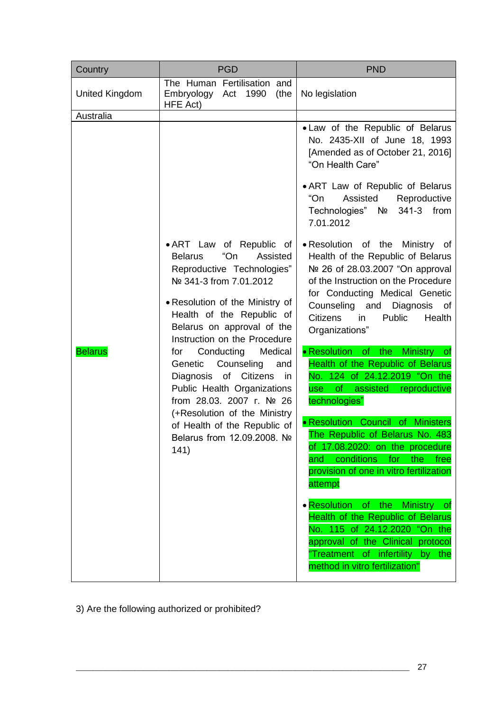| Country        | <b>PGD</b>                                                                                                                                                                                                                                                                              | <b>PND</b>                                                                                                                                                                                                                                                                                                                                                                               |
|----------------|-----------------------------------------------------------------------------------------------------------------------------------------------------------------------------------------------------------------------------------------------------------------------------------------|------------------------------------------------------------------------------------------------------------------------------------------------------------------------------------------------------------------------------------------------------------------------------------------------------------------------------------------------------------------------------------------|
| United Kingdom | The Human Fertilisation and<br>Embryology Act 1990<br>(the<br>HFE Act)                                                                                                                                                                                                                  | No legislation                                                                                                                                                                                                                                                                                                                                                                           |
| Australia      |                                                                                                                                                                                                                                                                                         |                                                                                                                                                                                                                                                                                                                                                                                          |
|                |                                                                                                                                                                                                                                                                                         | • Law of the Republic of Belarus<br>No. 2435-XII of June 18, 1993<br>[Amended as of October 21, 2016]<br>"On Health Care"<br>• ART Law of Republic of Belarus<br>Assisted Reproductive<br>"On<br>Technologies" Nº<br>341-3 from<br>7.01.2012                                                                                                                                             |
|                | • ART Law of Republic of<br>"On<br>Assisted<br><b>Belarus</b><br>Reproductive Technologies"<br>Nº 341-3 from 7.01.2012<br>• Resolution of the Ministry of<br>Health of the Republic of<br>Belarus on approval of the                                                                    | • Resolution of the Ministry of<br>Health of the Republic of Belarus<br>Nº 26 of 28.03.2007 "On approval<br>of the Instruction on the Procedure<br>for Conducting Medical Genetic<br>Counseling and Diagnosis of<br><b>Citizens</b><br>Public<br>in<br>Health<br>Organizations"                                                                                                          |
| <b>Belarus</b> | Instruction on the Procedure<br>Conducting Medical<br>for<br>Genetic Counseling<br>and<br>Diagnosis of Citizens<br>in<br>Public Health Organizations<br>from 28.03. 2007 r. № 26<br>(+Resolution of the Ministry<br>of Health of the Republic of<br>Belarus from 12.09.2008. No<br>141) | · Resolution of<br>the<br>Ministry of<br>Health of the Republic of Belarus<br>No. 124 of 24.12.2019 "On the<br>of assisted reproductive<br>use<br>technologies"<br>• Resolution Council<br>of<br><b>Ministers</b><br>The Republic of Belarus No. 483<br>of 17.08.2020: on the procedure<br>conditions<br>for<br>the<br>free<br>and<br>provision of one in vitro fertilization<br>attempt |
|                |                                                                                                                                                                                                                                                                                         | ● Resolution of<br>the<br>Ministry of<br>Health of the Republic of Belarus<br>No. 115 of 24.12.2020 "On the<br>approval of the Clinical protocol<br>"Treatment of infertility by the<br>method in vitro fertilization"                                                                                                                                                                   |

3) Are the following authorized or prohibited?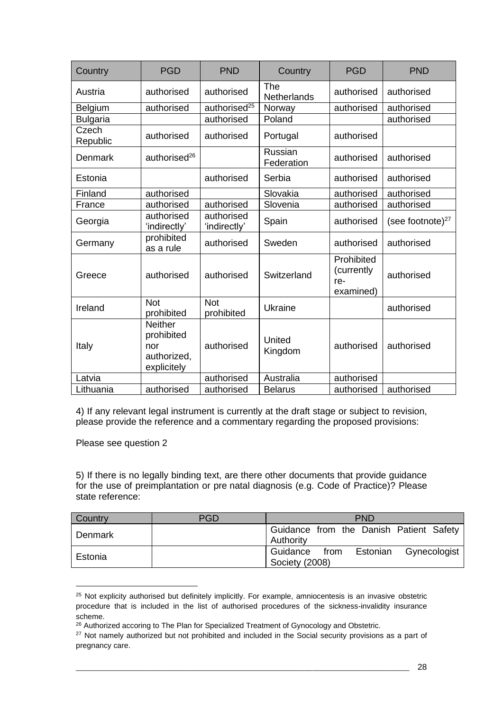| Country           | <b>PGD</b>                                                        | <b>PND</b>                 | Country                          | <b>PGD</b>                                   | <b>PND</b>                   |  |
|-------------------|-------------------------------------------------------------------|----------------------------|----------------------------------|----------------------------------------------|------------------------------|--|
| Austria           | authorised                                                        | authorised                 | The<br>authorised<br>Netherlands |                                              | authorised                   |  |
| <b>Belgium</b>    | authorised                                                        | authorised <sup>25</sup>   | Norway                           | authorised                                   | authorised                   |  |
| <b>Bulgaria</b>   |                                                                   | authorised                 | Poland                           |                                              | authorised                   |  |
| Czech<br>Republic | authorised                                                        | authorised                 | Portugal                         | authorised                                   |                              |  |
| Denmark           | authorised <sup>26</sup>                                          |                            | Russian<br>Federation            | authorised                                   | authorised                   |  |
| Estonia           |                                                                   | authorised                 | Serbia                           | authorised                                   | authorised                   |  |
| Finland           | authorised                                                        |                            | Slovakia                         | authorised                                   | authorised                   |  |
| France            | authorised                                                        | authorised                 | Slovenia                         | authorised                                   | authorised                   |  |
| Georgia           | authorised<br>'indirectly'                                        | authorised<br>'indirectly' | Spain                            | authorised                                   | (see footnote) <sup>27</sup> |  |
| Germany           | prohibited<br>as a rule                                           | authorised                 | Sweden                           | authorised                                   | authorised                   |  |
| Greece            | authorised                                                        | authorised                 | Switzerland                      | Prohibited<br>(currently<br>re-<br>examined) | authorised                   |  |
| Ireland           | <b>Not</b><br>prohibited                                          | <b>Not</b><br>prohibited   | Ukraine                          |                                              | authorised                   |  |
| Italy             | <b>Neither</b><br>prohibited<br>nor<br>authorized,<br>explicitely | authorised                 | United<br>Kingdom                | authorised                                   | authorised                   |  |
| Latvia            |                                                                   | authorised                 | Australia                        | authorised                                   |                              |  |
| Lithuania         | authorised                                                        | authorised                 | <b>Belarus</b>                   | authorised                                   | authorised                   |  |

4) If any relevant legal instrument is currently at the draft stage or subject to revision, please provide the reference and a commentary regarding the proposed provisions:

Please see question 2

5) If there is no legally binding text, are there other documents that provide guidance for the use of preimplantation or pre natal diagnosis (e.g. Code of Practice)? Please state reference:

| Country | <b>PGD</b> | <b>PND</b>                                               |
|---------|------------|----------------------------------------------------------|
| Denmark |            | Guidance from the Danish Patient Safety<br>Authority     |
| Estonia |            | Estonian Gynecologist<br>Guidance from<br>Society (2008) |

<sup>&</sup>lt;sup>25</sup> Not explicity authorised but definitely implicitly. For example, amniocentesis is an invasive obstetric procedure that is included in the list of authorised procedures of the sickness-invalidity insurance scheme.

<sup>&</sup>lt;sup>26</sup> Authorized accoring to The Plan for Specialized Treatment of Gynocology and Obstetric.

<sup>&</sup>lt;sup>27</sup> Not namely authorized but not prohibited and included in the Social security provisions as a part of pregnancy care.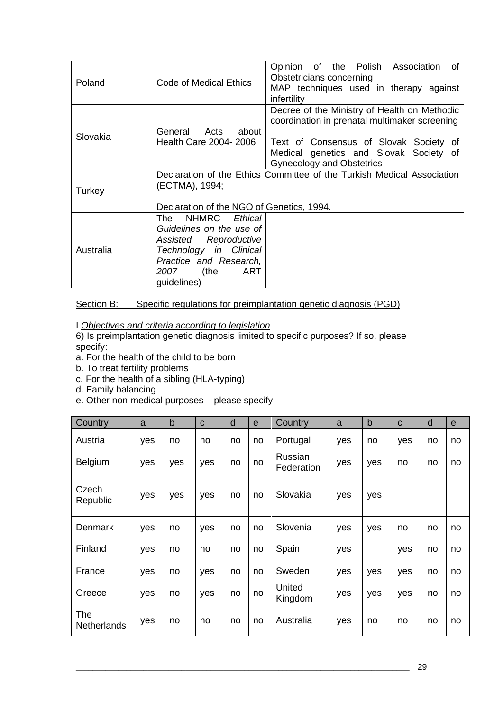| Poland    | Code of Medical Ethics                                                                                                                                                        | Opinion of the Polish Association<br>of<br>Obstetricians concerning<br>MAP techniques used in therapy against<br>infertility                                                                                          |
|-----------|-------------------------------------------------------------------------------------------------------------------------------------------------------------------------------|-----------------------------------------------------------------------------------------------------------------------------------------------------------------------------------------------------------------------|
| Slovakia  | Acts<br>General<br>about<br>Health Care 2004- 2006                                                                                                                            | Decree of the Ministry of Health on Methodic<br>coordination in prenatal multimaker screening<br>Text of Consensus of Slovak Society of<br>Medical genetics and Slovak Society of<br><b>Gynecology and Obstetrics</b> |
| Turkey    | (ECTMA), 1994;<br>Declaration of the NGO of Genetics, 1994.                                                                                                                   | Declaration of the Ethics Committee of the Turkish Medical Association                                                                                                                                                |
| Australia | NHMRC<br>Ethical<br>The<br>Guidelines on the use of<br>Assisted Reproductive<br>Technology in Clinical<br>Practice and Research,<br><b>ART</b><br>2007<br>(the<br>guidelines) |                                                                                                                                                                                                                       |

Section B: Specific regulations for preimplantation genetic diagnosis (PGD)

I *Objectives and criteria according to legislation* 

6) Is preimplantation genetic diagnosis limited to specific purposes? If so, please specify:

a. For the health of the child to be born

b. To treat fertility problems

c. For the health of a sibling (HLA-typing)

d. Family balancing

e. Other non-medical purposes – please specify

| Country                   | a   | $\mathsf b$ | $\mathbf C$ | d  | $\mathbf e$ | Country               | a   | b   | C   | d  | $\mathbf e$ |
|---------------------------|-----|-------------|-------------|----|-------------|-----------------------|-----|-----|-----|----|-------------|
| Austria                   | yes | no          | no          | no | no          | Portugal              | yes | no  | yes | no | no          |
| Belgium                   | yes | yes         | yes         | no | no          | Russian<br>Federation | yes | yes | no  | no | no          |
| Czech<br>Republic         | yes | yes         | yes         | no | no          | Slovakia              | yes | yes |     |    |             |
| Denmark                   | yes | no          | yes         | no | no          | Slovenia              | yes | yes | no  | no | no          |
| Finland                   | yes | no          | no          | no | no          | Spain                 | yes |     | yes | no | no          |
| France                    | yes | no          | yes         | no | no          | Sweden                | yes | yes | yes | no | no          |
| Greece                    | yes | no          | yes         | no | no          | United<br>Kingdom     | yes | yes | yes | no | no          |
| The<br><b>Netherlands</b> | yes | no          | no          | no | no          | Australia             | yes | no  | no  | no | no          |

\_\_\_\_\_\_\_\_\_\_\_\_\_\_\_\_\_\_\_\_\_\_\_\_\_\_\_\_\_\_\_\_\_\_\_\_\_\_\_\_\_\_\_\_\_\_\_\_\_\_\_\_\_\_\_\_\_\_\_\_\_\_\_\_\_\_\_\_\_\_\_\_\_\_\_\_\_\_\_ 29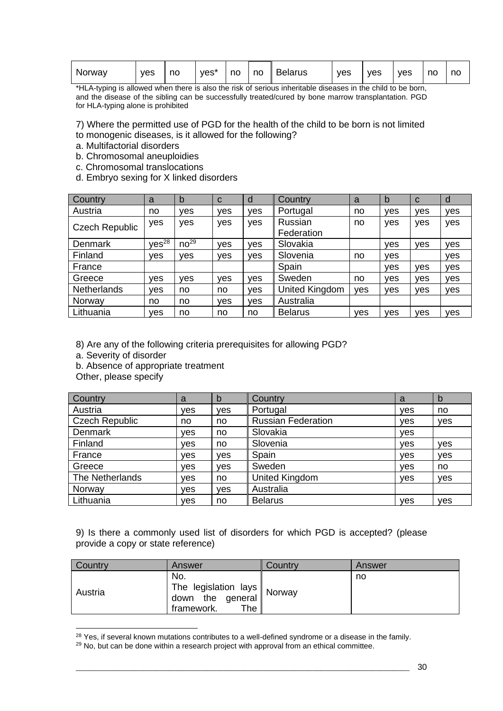|  | Norway | yes | nc | л.<br>yes* | no | no | -<br><b>Belarus</b> | ves | ves | ves | nc | no |
|--|--------|-----|----|------------|----|----|---------------------|-----|-----|-----|----|----|
|--|--------|-----|----|------------|----|----|---------------------|-----|-----|-----|----|----|

\*HLA-typing is allowed when there is also the risk of serious inheritable diseases in the child to be born, and the disease of the sibling can be successfully treated/cured by bone marrow transplantation. PGD for HLA-typing alone is prohibited

7) Where the permitted use of PGD for the health of the child to be born is not limited to monogenic diseases, is it allowed for the following?

a. Multifactorial disorders

b. Chromosomal aneuploidies

- c. Chromosomal translocations
- d. Embryo sexing for X linked disorders

| Country               | a                 | b                | C          | d          | Country               | a          | b          | $\mathbf C$ | d          |
|-----------------------|-------------------|------------------|------------|------------|-----------------------|------------|------------|-------------|------------|
| Austria               | no                | ves              | <b>ves</b> | ves        | Portugal              | no         | <b>ves</b> | yes         | <b>ves</b> |
| <b>Czech Republic</b> | yes               | yes              | yes        | yes        | Russian<br>Federation | no         | yes        | yes         | yes        |
| Denmark               | VES <sup>28</sup> | no <sup>29</sup> | ves        | ves        | Slovakia              |            | ves        | ves         | <b>ves</b> |
| Finland               | ves               | ves              | ves        | ves        | Slovenia              | no         | ves        |             | ves        |
| France                |                   |                  |            |            | Spain                 |            | ves        | ves         | <b>ves</b> |
| Greece                | ves               | ves              | ves        | ves        | Sweden                | no         | ves        | ves         | ves        |
| <b>Netherlands</b>    | yes               | no               | no         | <b>ves</b> | <b>United Kingdom</b> | <b>ves</b> | ves        | yes         | <b>ves</b> |
| Norway                | no                | no               | ves        | ves        | Australia             |            |            |             |            |
| Lithuania             | ves               | no               | no         | no         | <b>Belarus</b>        | <b>ves</b> | ves        | ves         | <b>ves</b> |

- 8) Are any of the following criteria prerequisites for allowing PGD?
- a. Severity of disorder

b. Absence of appropriate treatment

Other, please specify

| Country               | a          | b          | Country                   | a          | b          |
|-----------------------|------------|------------|---------------------------|------------|------------|
| Austria               | ves        | <b>ves</b> | Portugal                  | <b>ves</b> | no         |
| <b>Czech Republic</b> | no         | no         | <b>Russian Federation</b> | <b>ves</b> | ves        |
| Denmark               | ves        | no         | Slovakia                  | <b>ves</b> |            |
| Finland               | <b>ves</b> | no         | Slovenia                  | ves        | <b>ves</b> |
| France                | ves        | ves        | Spain                     | <b>ves</b> | ves        |
| Greece                | <b>ves</b> | <b>ves</b> | Sweden                    | <b>ves</b> | no         |
| The Netherlands       | ves        | no         | United Kingdom            | <b>ves</b> | ves        |
| Norway                | ves        | ves        | Australia                 |            |            |
| Lithuania             | ves        | no         | <b>Belarus</b>            | <b>ves</b> | ves        |

9) Is there a commonly used list of disorders for which PGD is accepted? (please provide a copy or state reference)

| Country | Answer                                                                      | Country | Answer |
|---------|-----------------------------------------------------------------------------|---------|--------|
| Austria | No.<br>The legislation lays Norway<br>down the general<br>The<br>framework. |         | no     |

<sup>&</sup>lt;sup>28</sup> Yes, if several known mutations contributes to a well-defined syndrome or a disease in the family.

 $29$  No, but can be done within a research project with approval from an ethical committee.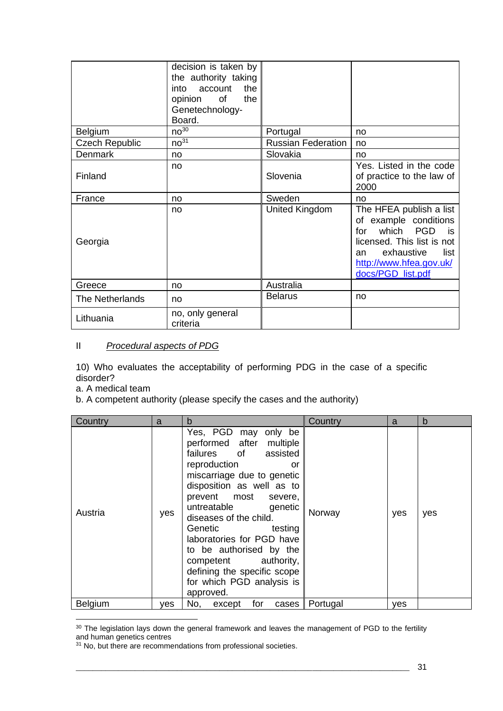|                       | decision is taken by<br>the authority taking<br>account<br>the<br>into<br>the<br>opinion of<br>Genetechnology-<br>Board. |                           |                                                                                                                                                                                             |
|-----------------------|--------------------------------------------------------------------------------------------------------------------------|---------------------------|---------------------------------------------------------------------------------------------------------------------------------------------------------------------------------------------|
| <b>Belgium</b>        | no <sup>30</sup>                                                                                                         | Portugal                  | no                                                                                                                                                                                          |
| <b>Czech Republic</b> | no <sup>31</sup>                                                                                                         | <b>Russian Federation</b> | no                                                                                                                                                                                          |
| Denmark               | no                                                                                                                       | Slovakia                  | no                                                                                                                                                                                          |
| Finland               | no                                                                                                                       | Slovenia                  | Yes. Listed in the code<br>of practice to the law of<br>2000                                                                                                                                |
| France                | no                                                                                                                       | Sweden                    | no                                                                                                                                                                                          |
| Georgia               | no                                                                                                                       | United Kingdom            | The HFEA publish a list<br>of example conditions<br>which PGD<br>for<br><b>is</b><br>licensed. This list is not<br>exhaustive<br>list<br>an<br>http://www.hfea.gov.uk/<br>docs/PGD list.pdf |
| Greece                | no                                                                                                                       | Australia                 |                                                                                                                                                                                             |
| The Netherlands       | no                                                                                                                       | <b>Belarus</b>            | no                                                                                                                                                                                          |
| Lithuania             | no, only general<br>criteria                                                                                             |                           |                                                                                                                                                                                             |

# II *Procedural aspects of PDG*

10) Who evaluates the acceptability of performing PDG in the case of a specific disorder?

- a. A medical team
- b. A competent authority (please specify the cases and the authority)

| Country        | a   | b                                                                                                                                                                                                                                                                                                                                                                                                                                | Country  | a   | b   |
|----------------|-----|----------------------------------------------------------------------------------------------------------------------------------------------------------------------------------------------------------------------------------------------------------------------------------------------------------------------------------------------------------------------------------------------------------------------------------|----------|-----|-----|
| Austria        | yes | Yes, PGD may<br>only be<br>performed after multiple<br>failures of<br>assisted<br>reproduction<br>or<br>miscarriage due to genetic<br>disposition as well as to<br>prevent most<br>severe,<br>untreatable<br>genetic<br>diseases of the child.<br>testing<br>Genetic<br>laboratories for PGD have<br>to be authorised by the<br>authority,<br>competent<br>defining the specific scope<br>for which PGD analysis is<br>approved. | Norway   | yes | yes |
| <b>Belgium</b> | ves | No,<br>for<br>except<br>cases                                                                                                                                                                                                                                                                                                                                                                                                    | Portugal | ves |     |

 $30$  The legislation lays down the general framework and leaves the management of PGD to the fertility and human genetics centres

<sup>&</sup>lt;sup>31</sup> No, but there are recommendations from professional societies.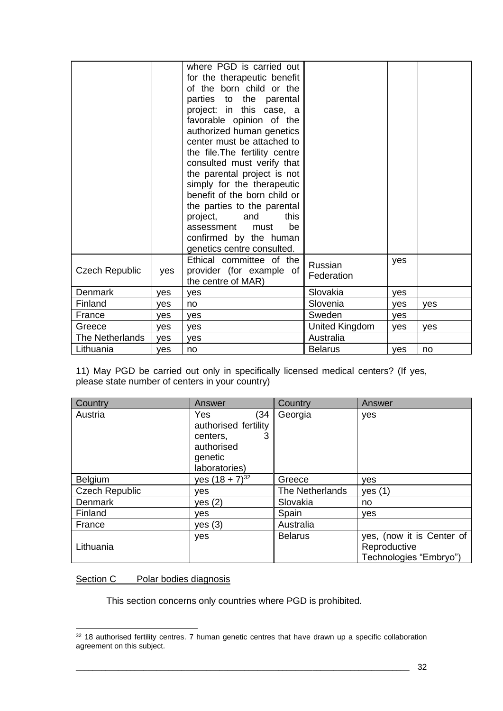|                       |            | where PGD is carried out<br>for the therapeutic benefit<br>of the born child or the<br>parties to the parental<br>project: in this case, a<br>favorable opinion of the<br>authorized human genetics<br>center must be attached to<br>the file. The fertility centre<br>consulted must verify that<br>the parental project is not<br>simply for the therapeutic<br>benefit of the born child or<br>the parties to the parental<br>project, and<br>this<br>assessment<br>must<br>be<br>confirmed by the human |                       |     |            |
|-----------------------|------------|-------------------------------------------------------------------------------------------------------------------------------------------------------------------------------------------------------------------------------------------------------------------------------------------------------------------------------------------------------------------------------------------------------------------------------------------------------------------------------------------------------------|-----------------------|-----|------------|
|                       |            | genetics centre consulted.<br>Ethical committee of the                                                                                                                                                                                                                                                                                                                                                                                                                                                      |                       | yes |            |
| <b>Czech Republic</b> | yes        | provider (for example of<br>the centre of MAR)                                                                                                                                                                                                                                                                                                                                                                                                                                                              | Russian<br>Federation |     |            |
| <b>Denmark</b>        | yes        | yes                                                                                                                                                                                                                                                                                                                                                                                                                                                                                                         | Slovakia              | yes |            |
| Finland               | yes        | no                                                                                                                                                                                                                                                                                                                                                                                                                                                                                                          | Slovenia              | yes | yes        |
| France                | <b>ves</b> | ves                                                                                                                                                                                                                                                                                                                                                                                                                                                                                                         | Sweden                | yes |            |
| Greece                | yes        | yes                                                                                                                                                                                                                                                                                                                                                                                                                                                                                                         | United Kingdom        | yes | <b>ves</b> |
| The Netherlands       | yes        | yes                                                                                                                                                                                                                                                                                                                                                                                                                                                                                                         | Australia             |     |            |
| Lithuania             | yes        | no                                                                                                                                                                                                                                                                                                                                                                                                                                                                                                          | <b>Belarus</b>        | yes | no         |

11) May PGD be carried out only in specifically licensed medical centers? (If yes, please state number of centers in your country)

| Country               | Answer               | Country         | Answer                    |
|-----------------------|----------------------|-----------------|---------------------------|
| Austria               | Yes<br>(34           | Georgia         | yes                       |
|                       | authorised fertility |                 |                           |
|                       | 3<br>centers,        |                 |                           |
|                       | authorised           |                 |                           |
|                       | genetic              |                 |                           |
|                       | laboratories)        |                 |                           |
| Belgium               | yes $(18 + 7)^{32}$  | Greece          | yes                       |
| <b>Czech Republic</b> | ves                  | The Netherlands | yes $(1)$                 |
| <b>Denmark</b>        | yes (2)              | Slovakia        | no                        |
| Finland               | ves                  | Spain           | ves                       |
| France                | yes(3)               | Australia       |                           |
|                       | yes                  | <b>Belarus</b>  | yes, (now it is Center of |
| Lithuania             |                      |                 | Reproductive              |
|                       |                      |                 | Technologies "Embryo")    |

Section C Polar bodies diagnosis

This section concerns only countries where PGD is prohibited.

 $32$  18 authorised fertility centres. 7 human genetic centres that have drawn up a specific collaboration agreement on this subject.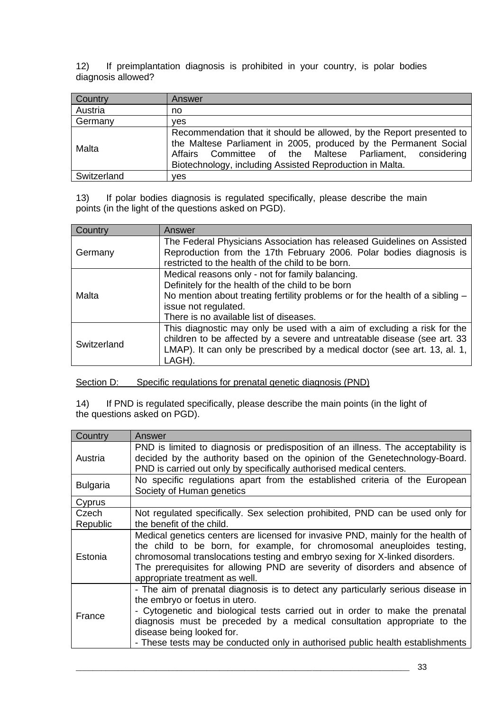12) If preimplantation diagnosis is prohibited in your country, is polar bodies diagnosis allowed?

| Country     | Answer                                                                                                                                                                                                                                                           |
|-------------|------------------------------------------------------------------------------------------------------------------------------------------------------------------------------------------------------------------------------------------------------------------|
| Austria     | no                                                                                                                                                                                                                                                               |
| Germany     | ves                                                                                                                                                                                                                                                              |
| Malta       | Recommendation that it should be allowed, by the Report presented to<br>the Maltese Parliament in 2005, produced by the Permanent Social<br>Affairs Committee of the Maltese Parliament, considering<br>Biotechnology, including Assisted Reproduction in Malta. |
| Switzerland | ves                                                                                                                                                                                                                                                              |

13) If polar bodies diagnosis is regulated specifically, please describe the main points (in the light of the questions asked on PGD).

| Country     | Answer                                                                                                                                                                                                                                                    |
|-------------|-----------------------------------------------------------------------------------------------------------------------------------------------------------------------------------------------------------------------------------------------------------|
| Germany     | The Federal Physicians Association has released Guidelines on Assisted<br>Reproduction from the 17th February 2006. Polar bodies diagnosis is<br>restricted to the health of the child to be born.                                                        |
| Malta       | Medical reasons only - not for family balancing.<br>Definitely for the health of the child to be born<br>No mention about treating fertility problems or for the health of a sibling -<br>issue not regulated.<br>There is no available list of diseases. |
| Switzerland | This diagnostic may only be used with a aim of excluding a risk for the<br>children to be affected by a severe and untreatable disease (see art. 33<br>LMAP). It can only be prescribed by a medical doctor (see art. 13, al. 1,<br>LAGH).                |

Section D: Specific regulations for prenatal genetic diagnosis (PND)

14) If PND is regulated specifically, please describe the main points (in the light of the questions asked on PGD).

| Country           | Answer                                                                                                                                                                                                                                                                                                                                                                                       |
|-------------------|----------------------------------------------------------------------------------------------------------------------------------------------------------------------------------------------------------------------------------------------------------------------------------------------------------------------------------------------------------------------------------------------|
| Austria           | PND is limited to diagnosis or predisposition of an illness. The acceptability is<br>decided by the authority based on the opinion of the Genetechnology-Board.<br>PND is carried out only by specifically authorised medical centers.                                                                                                                                                       |
| <b>Bulgaria</b>   | No specific regulations apart from the established criteria of the European<br>Society of Human genetics                                                                                                                                                                                                                                                                                     |
| Cyprus            |                                                                                                                                                                                                                                                                                                                                                                                              |
| Czech<br>Republic | Not regulated specifically. Sex selection prohibited, PND can be used only for<br>the benefit of the child.                                                                                                                                                                                                                                                                                  |
| Estonia           | Medical genetics centers are licensed for invasive PND, mainly for the health of<br>the child to be born, for example, for chromosomal aneuploides testing,<br>chromosomal translocations testing and embryo sexing for X-linked disorders.<br>The prerequisites for allowing PND are severity of disorders and absence of<br>appropriate treatment as well.                                 |
| France            | - The aim of prenatal diagnosis is to detect any particularly serious disease in<br>the embryo or foetus in utero.<br>- Cytogenetic and biological tests carried out in order to make the prenatal<br>diagnosis must be preceded by a medical consultation appropriate to the<br>disease being looked for.<br>- These tests may be conducted only in authorised public health establishments |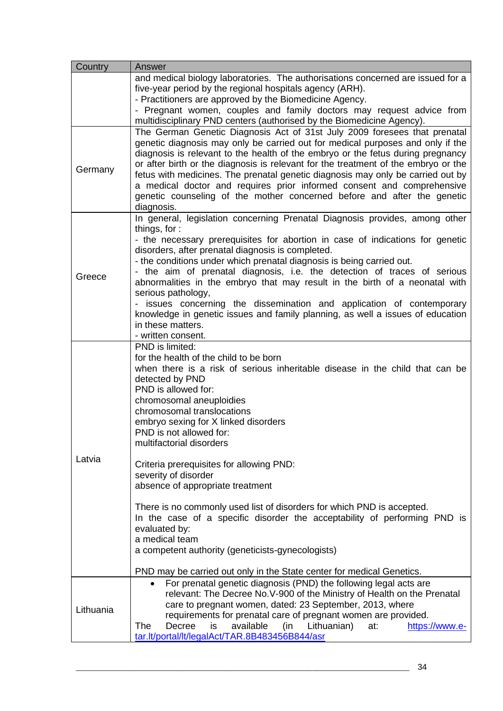| Country   | Answer                                                                                                                                                                                                                                                                                                                                                                                                                                                                                                                                                                                                                                                                                                                                                                       |
|-----------|------------------------------------------------------------------------------------------------------------------------------------------------------------------------------------------------------------------------------------------------------------------------------------------------------------------------------------------------------------------------------------------------------------------------------------------------------------------------------------------------------------------------------------------------------------------------------------------------------------------------------------------------------------------------------------------------------------------------------------------------------------------------------|
|           | and medical biology laboratories. The authorisations concerned are issued for a<br>five-year period by the regional hospitals agency (ARH).<br>- Practitioners are approved by the Biomedicine Agency.<br>- Pregnant women, couples and family doctors may request advice from<br>multidisciplinary PND centers (authorised by the Biomedicine Agency).                                                                                                                                                                                                                                                                                                                                                                                                                      |
| Germany   | The German Genetic Diagnosis Act of 31st July 2009 foresees that prenatal<br>genetic diagnosis may only be carried out for medical purposes and only if the<br>diagnosis is relevant to the health of the embryo or the fetus during pregnancy<br>or after birth or the diagnosis is relevant for the treatment of the embryo or the<br>fetus with medicines. The prenatal genetic diagnosis may only be carried out by<br>a medical doctor and requires prior informed consent and comprehensive<br>genetic counseling of the mother concerned before and after the genetic<br>diagnosis.                                                                                                                                                                                   |
| Greece    | In general, legislation concerning Prenatal Diagnosis provides, among other<br>things, for:<br>- the necessary prerequisites for abortion in case of indications for genetic<br>disorders, after prenatal diagnosis is completed.<br>- the conditions under which prenatal diagnosis is being carried out.<br>- the aim of prenatal diagnosis, i.e. the detection of traces of serious<br>abnormalities in the embryo that may result in the birth of a neonatal with<br>serious pathology,<br>- issues concerning the dissemination and application of contemporary<br>knowledge in genetic issues and family planning, as well a issues of education<br>in these matters.<br>- written consent.                                                                            |
| Latvia    | PND is limited:<br>for the health of the child to be born<br>when there is a risk of serious inheritable disease in the child that can be<br>detected by PND<br>PND is allowed for:<br>chromosomal aneuploidies<br>chromosomal translocations<br>embryo sexing for X linked disorders<br>PND is not allowed for:<br>multifactorial disorders<br>Criteria prerequisites for allowing PND:<br>severity of disorder<br>absence of appropriate treatment<br>There is no commonly used list of disorders for which PND is accepted.<br>In the case of a specific disorder the acceptability of performing PND is<br>evaluated by:<br>a medical team<br>a competent authority (geneticists-gynecologists)<br>PND may be carried out only in the State center for medical Genetics. |
| Lithuania | For prenatal genetic diagnosis (PND) the following legal acts are<br>relevant: The Decree No.V-900 of the Ministry of Health on the Prenatal<br>care to pregnant women, dated: 23 September, 2013, where<br>requirements for prenatal care of pregnant women are provided.<br>available<br>Decree<br>Lithuanian)<br>https://www.e-<br>The<br>is<br>(in<br>at:<br>tar.lt/portal/lt/legalAct/TAR.8B483456B844/asr                                                                                                                                                                                                                                                                                                                                                              |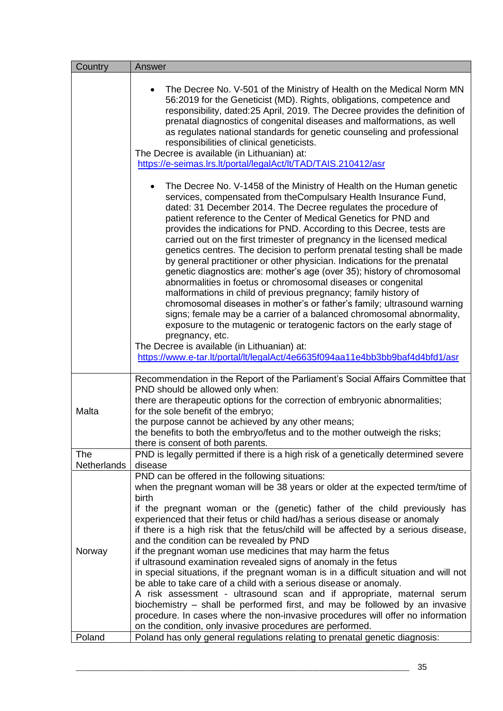| Country            | Answer                                                                                                                                                                                                                                                                                                                                                                                                                                                                                                                                                                                                                                                                                                                                                                                                                                                                                                                                                                                                                                                                                                                                                                                                |
|--------------------|-------------------------------------------------------------------------------------------------------------------------------------------------------------------------------------------------------------------------------------------------------------------------------------------------------------------------------------------------------------------------------------------------------------------------------------------------------------------------------------------------------------------------------------------------------------------------------------------------------------------------------------------------------------------------------------------------------------------------------------------------------------------------------------------------------------------------------------------------------------------------------------------------------------------------------------------------------------------------------------------------------------------------------------------------------------------------------------------------------------------------------------------------------------------------------------------------------|
|                    | The Decree No. V-501 of the Ministry of Health on the Medical Norm MN<br>56:2019 for the Geneticist (MD). Rights, obligations, competence and<br>responsibility, dated:25 April, 2019. The Decree provides the definition of<br>prenatal diagnostics of congenital diseases and malformations, as well<br>as regulates national standards for genetic counseling and professional<br>responsibilities of clinical geneticists.<br>The Decree is available (in Lithuanian) at:<br>https://e-seimas.lrs.lt/portal/legalAct/lt/TAD/TAIS.210412/asr                                                                                                                                                                                                                                                                                                                                                                                                                                                                                                                                                                                                                                                       |
|                    | The Decree No. V-1458 of the Ministry of Health on the Human genetic<br>$\bullet$<br>services, compensated from the Compulsary Health Insurance Fund,<br>dated: 31 December 2014. The Decree regulates the procedure of<br>patient reference to the Center of Medical Genetics for PND and<br>provides the indications for PND. According to this Decree, tests are<br>carried out on the first trimester of pregnancy in the licensed medical<br>genetics centres. The decision to perform prenatal testing shall be made<br>by general practitioner or other physician. Indications for the prenatal<br>genetic diagnostics are: mother's age (over 35); history of chromosomal<br>abnormalities in foetus or chromosomal diseases or congenital<br>malformations in child of previous pregnancy; family history of<br>chromosomal diseases in mother's or father's family; ultrasound warning<br>signs; female may be a carrier of a balanced chromosomal abnormality,<br>exposure to the mutagenic or teratogenic factors on the early stage of<br>pregnancy, etc.<br>The Decree is available (in Lithuanian) at:<br>https://www.e-tar.lt/portal/lt/legalAct/4e6635f094aa11e4bb3bb9baf4d4bfd1/asr |
| Malta              | Recommendation in the Report of the Parliament's Social Affairs Committee that<br>PND should be allowed only when:<br>there are therapeutic options for the correction of embryonic abnormalities;<br>for the sole benefit of the embryo;<br>the purpose cannot be achieved by any other means;<br>the benefits to both the embryo/fetus and to the mother outweigh the risks;<br>there is consent of both parents.                                                                                                                                                                                                                                                                                                                                                                                                                                                                                                                                                                                                                                                                                                                                                                                   |
| The<br>Netherlands | PND is legally permitted if there is a high risk of a genetically determined severe<br>disease                                                                                                                                                                                                                                                                                                                                                                                                                                                                                                                                                                                                                                                                                                                                                                                                                                                                                                                                                                                                                                                                                                        |
| Norway             | PND can be offered in the following situations:<br>when the pregnant woman will be 38 years or older at the expected term/time of<br>birth<br>if the pregnant woman or the (genetic) father of the child previously has<br>experienced that their fetus or child had/has a serious disease or anomaly<br>if there is a high risk that the fetus/child will be affected by a serious disease,<br>and the condition can be revealed by PND<br>if the pregnant woman use medicines that may harm the fetus<br>if ultrasound examination revealed signs of anomaly in the fetus<br>in special situations, if the pregnant woman is in a difficult situation and will not<br>be able to take care of a child with a serious disease or anomaly.<br>A risk assessment - ultrasound scan and if appropriate, maternal serum<br>biochemistry – shall be performed first, and may be followed by an invasive<br>procedure. In cases where the non-invasive procedures will offer no information<br>on the condition, only invasive procedures are performed.                                                                                                                                                   |
| Poland             | Poland has only general regulations relating to prenatal genetic diagnosis:                                                                                                                                                                                                                                                                                                                                                                                                                                                                                                                                                                                                                                                                                                                                                                                                                                                                                                                                                                                                                                                                                                                           |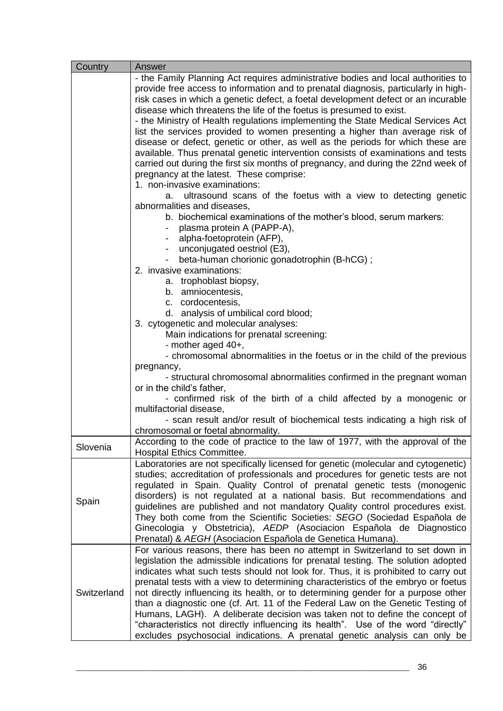| Country     | Answer                                                                                                                                                                                                                                                                                                                                                                                                                                                                                                                                                                                                                                                                                                                                                                                                                                                                                                                                                                                                                                                                                                                                                                                                                                                                                                                                                                                                                                                                                                                                                                                                                                                                                                     |  |  |  |
|-------------|------------------------------------------------------------------------------------------------------------------------------------------------------------------------------------------------------------------------------------------------------------------------------------------------------------------------------------------------------------------------------------------------------------------------------------------------------------------------------------------------------------------------------------------------------------------------------------------------------------------------------------------------------------------------------------------------------------------------------------------------------------------------------------------------------------------------------------------------------------------------------------------------------------------------------------------------------------------------------------------------------------------------------------------------------------------------------------------------------------------------------------------------------------------------------------------------------------------------------------------------------------------------------------------------------------------------------------------------------------------------------------------------------------------------------------------------------------------------------------------------------------------------------------------------------------------------------------------------------------------------------------------------------------------------------------------------------------|--|--|--|
|             | - the Family Planning Act requires administrative bodies and local authorities to<br>provide free access to information and to prenatal diagnosis, particularly in high-<br>risk cases in which a genetic defect, a foetal development defect or an incurable<br>disease which threatens the life of the foetus is presumed to exist.<br>- the Ministry of Health regulations implementing the State Medical Services Act<br>list the services provided to women presenting a higher than average risk of<br>disease or defect, genetic or other, as well as the periods for which these are<br>available. Thus prenatal genetic intervention consists of examinations and tests<br>carried out during the first six months of pregnancy, and during the 22nd week of<br>pregnancy at the latest. These comprise:<br>1. non-invasive examinations:<br>ultrasound scans of the foetus with a view to detecting genetic<br>а.<br>abnormalities and diseases,<br>b. biochemical examinations of the mother's blood, serum markers:<br>plasma protein A (PAPP-A),<br>- alpha-foetoprotein (AFP),<br>- unconjugated oestriol (E3),<br>beta-human chorionic gonadotrophin (B-hCG);<br>2. invasive examinations:<br>a. trophoblast biopsy,<br>b. amniocentesis,<br>c. cordocentesis,<br>d. analysis of umbilical cord blood;<br>3. cytogenetic and molecular analyses:<br>Main indications for prenatal screening:<br>- mother aged 40+,<br>- chromosomal abnormalities in the foetus or in the child of the previous<br>pregnancy,<br>- structural chromosomal abnormalities confirmed in the pregnant woman<br>or in the child's father,<br>- confirmed risk of the birth of a child affected by a monogenic or |  |  |  |
|             | multifactorial disease,<br>- scan result and/or result of biochemical tests indicating a high risk of<br>chromosomal or foetal abnormality.                                                                                                                                                                                                                                                                                                                                                                                                                                                                                                                                                                                                                                                                                                                                                                                                                                                                                                                                                                                                                                                                                                                                                                                                                                                                                                                                                                                                                                                                                                                                                                |  |  |  |
|             | According to the code of practice to the law of 1977, with the approval of the                                                                                                                                                                                                                                                                                                                                                                                                                                                                                                                                                                                                                                                                                                                                                                                                                                                                                                                                                                                                                                                                                                                                                                                                                                                                                                                                                                                                                                                                                                                                                                                                                             |  |  |  |
| Slovenia    | Hospital Ethics Committee.                                                                                                                                                                                                                                                                                                                                                                                                                                                                                                                                                                                                                                                                                                                                                                                                                                                                                                                                                                                                                                                                                                                                                                                                                                                                                                                                                                                                                                                                                                                                                                                                                                                                                 |  |  |  |
| Spain       | Laboratories are not specifically licensed for genetic (molecular and cytogenetic)<br>studies; accreditation of professionals and procedures for genetic tests are not<br>regulated in Spain. Quality Control of prenatal genetic tests (monogenic<br>disorders) is not regulated at a national basis. But recommendations and<br>guidelines are published and not mandatory Quality control procedures exist.<br>They both come from the Scientific Societies: SEGO (Sociedad Española de<br>Ginecologia y Obstetricia), AEDP (Asociacion Española de Diagnostico<br>Prenatal) & AEGH (Asociacion Española de Genetica Humana).                                                                                                                                                                                                                                                                                                                                                                                                                                                                                                                                                                                                                                                                                                                                                                                                                                                                                                                                                                                                                                                                           |  |  |  |
| Switzerland | For various reasons, there has been no attempt in Switzerland to set down in<br>legislation the admissible indications for prenatal testing. The solution adopted<br>indicates what such tests should not look for. Thus, it is prohibited to carry out<br>prenatal tests with a view to determining characteristics of the embryo or foetus<br>not directly influencing its health, or to determining gender for a purpose other<br>than a diagnostic one (cf. Art. 11 of the Federal Law on the Genetic Testing of<br>Humans, LAGH). A deliberate decision was taken not to define the concept of<br>"characteristics not directly influencing its health". Use of the word "directly"<br>excludes psychosocial indications. A prenatal genetic analysis can only be                                                                                                                                                                                                                                                                                                                                                                                                                                                                                                                                                                                                                                                                                                                                                                                                                                                                                                                                     |  |  |  |

\_\_\_\_\_\_\_\_\_\_\_\_\_\_\_\_\_\_\_\_\_\_\_\_\_\_\_\_\_\_\_\_\_\_\_\_\_\_\_\_\_\_\_\_\_\_\_\_\_\_\_\_\_\_\_\_\_\_\_\_\_\_\_\_\_\_\_\_\_\_\_\_\_\_\_\_\_\_\_ 36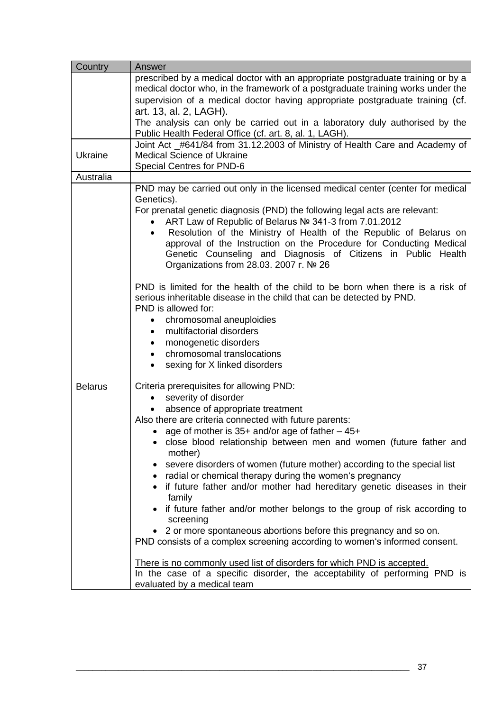| Country        | Answer                                                                                                                                                                                                                                                                                                                                                                                                                                                                                                                                                                                                                                                                                                                                                                                                                                               |  |  |  |  |
|----------------|------------------------------------------------------------------------------------------------------------------------------------------------------------------------------------------------------------------------------------------------------------------------------------------------------------------------------------------------------------------------------------------------------------------------------------------------------------------------------------------------------------------------------------------------------------------------------------------------------------------------------------------------------------------------------------------------------------------------------------------------------------------------------------------------------------------------------------------------------|--|--|--|--|
|                | prescribed by a medical doctor with an appropriate postgraduate training or by a<br>medical doctor who, in the framework of a postgraduate training works under the<br>supervision of a medical doctor having appropriate postgraduate training (cf.<br>art. 13, al. 2, LAGH).                                                                                                                                                                                                                                                                                                                                                                                                                                                                                                                                                                       |  |  |  |  |
|                | The analysis can only be carried out in a laboratory duly authorised by the<br>Public Health Federal Office (cf. art. 8, al. 1, LAGH).                                                                                                                                                                                                                                                                                                                                                                                                                                                                                                                                                                                                                                                                                                               |  |  |  |  |
| Ukraine        | Joint Act _#641/84 from 31.12.2003 of Ministry of Health Care and Academy of<br><b>Medical Science of Ukraine</b><br><b>Special Centres for PND-6</b>                                                                                                                                                                                                                                                                                                                                                                                                                                                                                                                                                                                                                                                                                                |  |  |  |  |
| Australia      |                                                                                                                                                                                                                                                                                                                                                                                                                                                                                                                                                                                                                                                                                                                                                                                                                                                      |  |  |  |  |
|                | PND may be carried out only in the licensed medical center (center for medical<br>Genetics).<br>For prenatal genetic diagnosis (PND) the following legal acts are relevant:<br>ART Law of Republic of Belarus № 341-3 from 7.01.2012<br>Resolution of the Ministry of Health of the Republic of Belarus on<br>approval of the Instruction on the Procedure for Conducting Medical<br>Genetic Counseling and Diagnosis of Citizens in Public Health<br>Organizations from 28.03. 2007 r. № 26                                                                                                                                                                                                                                                                                                                                                         |  |  |  |  |
|                | PND is limited for the health of the child to be born when there is a risk of<br>serious inheritable disease in the child that can be detected by PND.<br>PND is allowed for:<br>chromosomal aneuploidies<br>multifactorial disorders<br>$\bullet$<br>monogenetic disorders<br>$\bullet$<br>chromosomal translocations<br>$\bullet$<br>sexing for X linked disorders<br>$\bullet$                                                                                                                                                                                                                                                                                                                                                                                                                                                                    |  |  |  |  |
| <b>Belarus</b> | Criteria prerequisites for allowing PND:<br>severity of disorder<br>absence of appropriate treatment<br>Also there are criteria connected with future parents:<br>age of mother is $35+$ and/or age of father $-45+$<br>close blood relationship between men and women (future father and<br>mother)<br>severe disorders of women (future mother) according to the special list<br>radial or chemical therapy during the women's pregnancy<br>if future father and/or mother had hereditary genetic diseases in their<br>family<br>if future father and/or mother belongs to the group of risk according to<br>screening<br>2 or more spontaneous abortions before this pregnancy and so on.<br>PND consists of a complex screening according to women's informed consent.<br>There is no commonly used list of disorders for which PND is accepted. |  |  |  |  |
|                | In the case of a specific disorder, the acceptability of performing PND is<br>evaluated by a medical team                                                                                                                                                                                                                                                                                                                                                                                                                                                                                                                                                                                                                                                                                                                                            |  |  |  |  |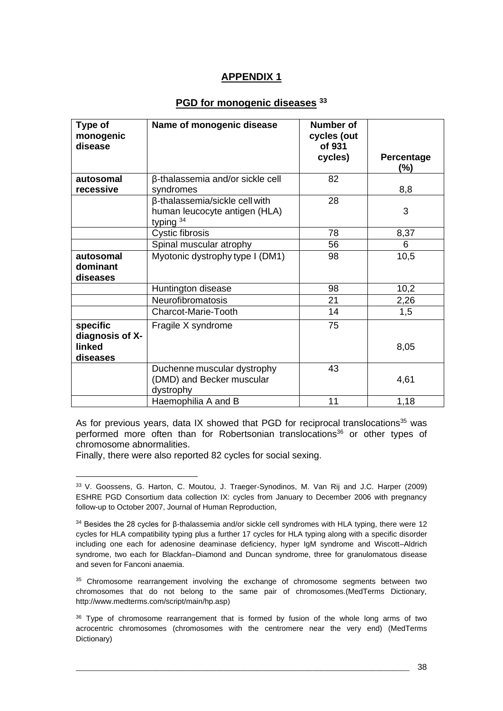# **APPENDIX 1**

# **PGD for monogenic diseases <sup>33</sup>**

<span id="page-37-0"></span>

| Type of<br>monogenic<br>disease       | Name of monogenic disease                                                               | Number of<br>cycles (out<br>of 931<br>cycles) | Percentage<br>(%) |
|---------------------------------------|-----------------------------------------------------------------------------------------|-----------------------------------------------|-------------------|
| autosomal                             | β-thalassemia and/or sickle cell                                                        | 82                                            |                   |
| recessive                             | syndromes                                                                               |                                               | 8,8               |
|                                       | β-thalassemia/sickle cell with<br>human leucocyte antigen (HLA)<br>typing <sup>34</sup> | 28                                            | 3                 |
|                                       | Cystic fibrosis                                                                         | 78                                            | 8,37              |
|                                       | Spinal muscular atrophy                                                                 | 56                                            | 6                 |
| autosomal<br>dominant<br>diseases     | Myotonic dystrophy type I (DM1)                                                         | 98                                            | 10,5              |
|                                       | Huntington disease                                                                      | 98                                            | 10,2              |
|                                       | Neurofibromatosis                                                                       | 21                                            | 2,26              |
|                                       | Charcot-Marie-Tooth                                                                     | 14                                            | 1,5               |
| specific<br>diagnosis of X-<br>linked | Fragile X syndrome                                                                      | 75                                            |                   |
| diseases                              |                                                                                         |                                               | 8,05              |
|                                       | Duchenne muscular dystrophy<br>(DMD) and Becker muscular<br>dystrophy                   | 43                                            | 4,61              |
|                                       | Haemophilia A and B                                                                     | 11                                            | 1,18              |

As for previous years, data IX showed that PGD for reciprocal translocations<sup>35</sup> was performed more often than for Robertsonian translocations<sup>36</sup> or other types of chromosome abnormalities.

Finally, there were also reported 82 cycles for social sexing.

<sup>35</sup> Chromosome rearrangement involving the exchange of chromosome segments between two chromosomes that do not belong to the same pair of chromosomes.(MedTerms Dictionary, [http://www.medterms.com/script/main/hp.asp\)](http://www.medterms.com/script/main/hp.asp)

<sup>33</sup> V. Goossens, G. Harton, C. Moutou, J. Traeger-Synodinos, M. Van Rij and J.C. Harper (2009) ESHRE PGD Consortium data collection IX: cycles from January to December 2006 with pregnancy follow-up to October 2007, Journal of Human Reproduction,

 $34$  Besides the 28 cycles for β-thalassemia and/or sickle cell syndromes with HLA typing, there were 12 cycles for HLA compatibility typing plus a further 17 cycles for HLA typing along with a specific disorder including one each for adenosine deaminase deficiency, hyper IgM syndrome and Wiscott–Aldrich syndrome, two each for Blackfan–Diamond and Duncan syndrome, three for granulomatous disease and seven for Fanconi anaemia.

<sup>&</sup>lt;sup>36</sup> Type of [chromosome](http://www.medterms.com/script/main/art.asp?articlekey=14018) rearrangement that is formed by fusion of the whole [long arms](http://www.medterms.com/script/main/art.asp?articlekey=7858) of two [acrocentric](http://www.medterms.com/script/main/art.asp?articlekey=2123) chromosomes (chromosomes with the [centromere](http://www.medterms.com/script/main/art.asp?articlekey=2668) near the very end) (MedTerms Dictionary)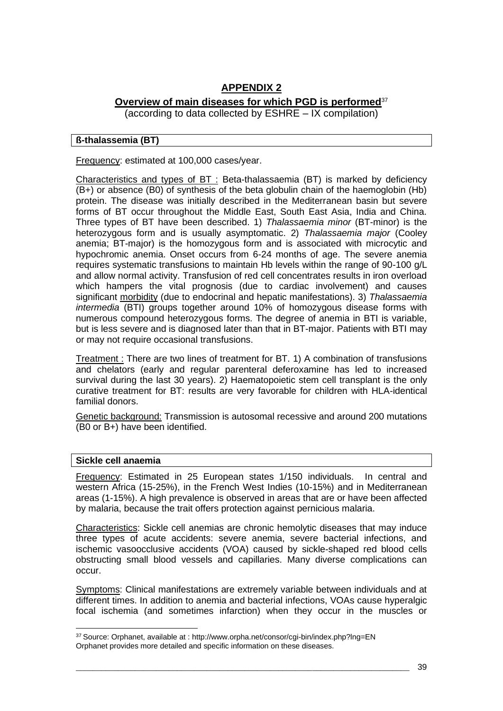# <span id="page-38-0"></span>**APPENDIX 2 Overview of main diseases for which PGD is performed**<sup>37</sup>

(according to data collected by ESHRE – IX compilation)

#### **ß-thalassemia (BT)**

Frequency: estimated at 100,000 cases/year.

Characteristics and types of  $BT :$  Beta-thalassaemia (BT) is marked by deficiency (B+) or absence (B0) of synthesis of the beta globulin chain of the haemoglobin (Hb) protein. The disease was initially described in the Mediterranean basin but severe forms of BT occur throughout the Middle East, South East Asia, India and China. Three types of BT have been described. 1) *Thalassaemia minor* (BT-minor) is the heterozygous form and is usually asymptomatic. 2) *Thalassaemia major* (Cooley anemia; BT-major) is the homozygous form and is associated with microcytic and hypochromic anemia. Onset occurs from 6-24 months of age. The severe anemia requires systematic transfusions to maintain Hb levels within the range of 90-100 g/L and allow normal activity. Transfusion of red cell concentrates results in iron overload which hampers the vital prognosis (due to cardiac involvement) and causes significant morbidity (due to endocrinal and hepatic manifestations). 3) *Thalassaemia intermedia* (BTI) groups together around 10% of homozygous disease forms with numerous compound heterozygous forms. The degree of anemia in BTI is variable, but is less severe and is diagnosed later than that in BT-major. Patients with BTI may or may not require occasional transfusions.

Treatment : There are two lines of treatment for BT. 1) A combination of transfusions and chelators (early and regular parenteral deferoxamine has led to increased survival during the last 30 years). 2) Haematopoietic stem cell transplant is the only curative treatment for BT: results are very favorable for children with HLA-identical familial donors.

Genetic background: Transmission is autosomal recessive and around 200 mutations (B0 or B+) have been identified.

#### **Sickle cell anaemia**

Frequency: Estimated in 25 European states 1/150 individuals. In central and western Africa (15-25%), in the French West Indies (10-15%) and in Mediterranean areas (1-15%). A high prevalence is observed in areas that are or have been affected by malaria, because the trait offers protection against pernicious malaria.

Characteristics: Sickle cell anemias are chronic hemolytic diseases that may induce three types of acute accidents: severe anemia, severe bacterial infections, and ischemic vasoocclusive accidents (VOA) caused by sickle-shaped red blood cells obstructing small blood vessels and capillaries. Many diverse complications can occur.

Symptoms: Clinical manifestations are extremely variable between individuals and at different times. In addition to anemia and bacterial infections, VOAs cause hyperalgic focal ischemia (and sometimes infarction) when they occur in the muscles or

<sup>37</sup> Source: Orphanet, available at :<http://www.orpha.net/consor/cgi-bin/index.php?lng=EN> Orphanet provides more detailed and specific information on these diseases.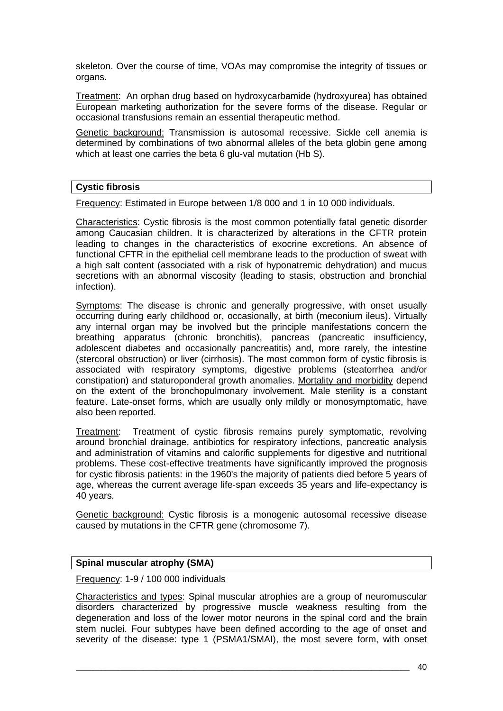skeleton. Over the course of time, VOAs may compromise the integrity of tissues or organs.

Treatment: An orphan drug based on hydroxycarbamide (hydroxyurea) has obtained European marketing authorization for the severe forms of the disease. Regular or occasional transfusions remain an essential therapeutic method.

Genetic background: Transmission is autosomal recessive. Sickle cell anemia is determined by combinations of two abnormal alleles of the beta globin gene among which at least one carries the beta 6 glu-val mutation (Hb S).

#### **Cystic fibrosis**

Frequency: Estimated in Europe between 1/8 000 and 1 in 10 000 individuals.

Characteristics: Cystic fibrosis is the most common potentially fatal genetic disorder among Caucasian children. It is characterized by alterations in the CFTR protein leading to changes in the characteristics of exocrine excretions. An absence of functional CFTR in the epithelial cell membrane leads to the production of sweat with a high salt content (associated with a risk of hyponatremic dehydration) and mucus secretions with an abnormal viscosity (leading to stasis, obstruction and bronchial infection).

Symptoms: The disease is chronic and generally progressive, with onset usually occurring during early childhood or, occasionally, at birth (meconium ileus). Virtually any internal organ may be involved but the principle manifestations concern the breathing apparatus (chronic bronchitis), pancreas (pancreatic insufficiency, adolescent diabetes and occasionally pancreatitis) and, more rarely, the intestine (stercoral obstruction) or liver (cirrhosis). The most common form of cystic fibrosis is associated with respiratory symptoms, digestive problems (steatorrhea and/or constipation) and staturoponderal growth anomalies. Mortality and morbidity depend on the extent of the bronchopulmonary involvement. Male sterility is a constant feature. Late-onset forms, which are usually only mildly or monosymptomatic, have also been reported.

Treatment: Treatment of cystic fibrosis remains purely symptomatic, revolving around bronchial drainage, antibiotics for respiratory infections, pancreatic analysis and administration of vitamins and calorific supplements for digestive and nutritional problems. These cost-effective treatments have significantly improved the prognosis for cystic fibrosis patients: in the 1960's the majority of patients died before 5 years of age, whereas the current average life-span exceeds 35 years and life-expectancy is 40 years.

Genetic background: Cystic fibrosis is a monogenic autosomal recessive disease caused by mutations in the CFTR gene (chromosome 7).

#### **Spinal muscular atrophy (SMA)**

Frequency: 1-9 / 100 000 individuals

Characteristics and types: Spinal muscular atrophies are a group of neuromuscular disorders characterized by progressive muscle weakness resulting from the degeneration and loss of the lower motor neurons in the spinal cord and the brain stem nuclei. Four subtypes have been defined according to the age of onset and severity of the disease: type 1 (PSMA1/SMAI), the most severe form, with onset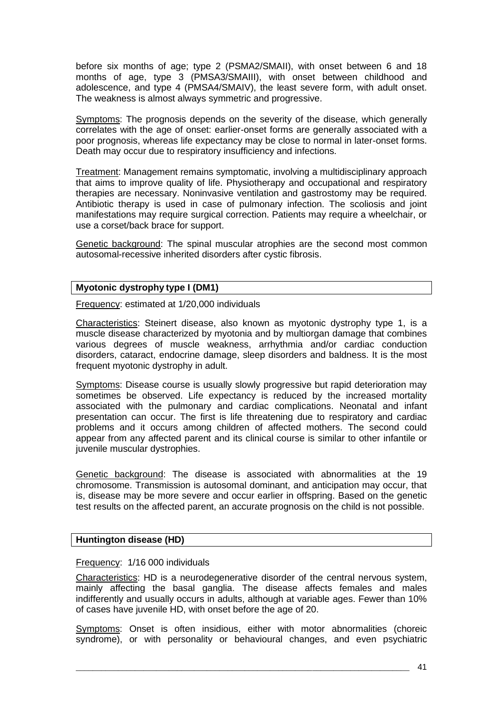before six months of age; type 2 (PSMA2/SMAII), with onset between 6 and 18 months of age, type 3 (PMSA3/SMAIII), with onset between childhood and adolescence, and type 4 (PMSA4/SMAIV), the least severe form, with adult onset. The weakness is almost always symmetric and progressive.

Symptoms: The prognosis depends on the severity of the disease, which generally correlates with the age of onset: earlier-onset forms are generally associated with a poor prognosis, whereas life expectancy may be close to normal in later-onset forms. Death may occur due to respiratory insufficiency and infections.

Treatment: Management remains symptomatic, involving a multidisciplinary approach that aims to improve quality of life. Physiotherapy and occupational and respiratory therapies are necessary. Noninvasive ventilation and gastrostomy may be required. Antibiotic therapy is used in case of pulmonary infection. The scoliosis and joint manifestations may require surgical correction. Patients may require a wheelchair, or use a corset/back brace for support.

Genetic background: The spinal muscular atrophies are the second most common autosomal-recessive inherited disorders after [cystic fibrosis.](http://emedicine.medscape.com/article/1001602-overview)

## **Myotonic dystrophy type I (DM1)**

Frequency: estimated at 1/20,000 individuals

Characteristics: Steinert disease, also known as myotonic dystrophy type 1, is a muscle disease characterized by myotonia and by multiorgan damage that combines various degrees of muscle weakness, arrhythmia and/or cardiac conduction disorders, cataract, endocrine damage, sleep disorders and baldness. It is the most frequent myotonic dystrophy in adult.

Symptoms: Disease course is usually slowly progressive but rapid deterioration may sometimes be observed. Life expectancy is reduced by the increased mortality associated with the pulmonary and cardiac complications. Neonatal and infant presentation can occur. The first is life threatening due to respiratory and cardiac problems and it occurs among children of affected mothers. The second could appear from any affected parent and its clinical course is similar to other infantile or juvenile muscular dystrophies.

Genetic background: The disease is associated with abnormalities at the 19 chromosome. Transmission is autosomal dominant, and anticipation may occur, that is, disease may be more severe and occur earlier in offspring. Based on the genetic test results on the affected parent, an accurate prognosis on the child is not possible.

#### **Huntington disease (HD)**

#### Frequency: 1/16 000 individuals

Characteristics: HD is a neurodegenerative disorder of the central nervous system, mainly affecting the basal ganglia. The disease affects females and males indifferently and usually occurs in adults, although at variable ages. Fewer than 10% of cases have juvenile HD, with onset before the age of 20.

Symptoms: Onset is often insidious, either with motor abnormalities (choreic syndrome), or with personality or behavioural changes, and even psychiatric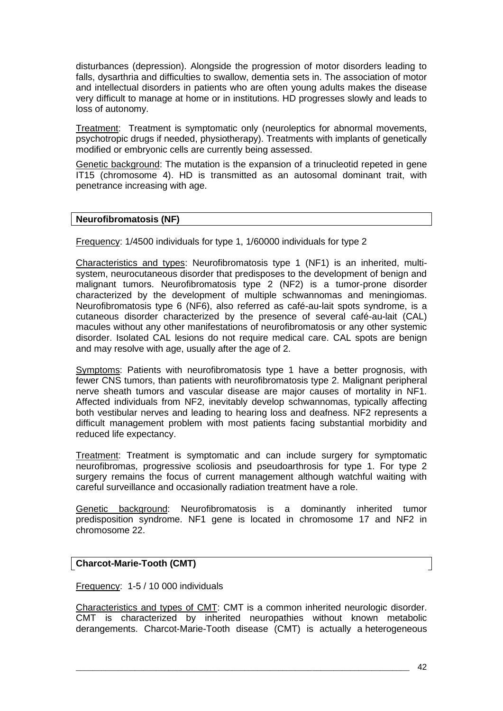disturbances (depression). Alongside the progression of motor disorders leading to falls, dysarthria and difficulties to swallow, dementia sets in. The association of motor and intellectual disorders in patients who are often young adults makes the disease very difficult to manage at home or in institutions. HD progresses slowly and leads to loss of autonomy.

Treatment: Treatment is symptomatic only (neuroleptics for abnormal movements, psychotropic drugs if needed, physiotherapy). Treatments with implants of genetically modified or embryonic cells are currently being assessed.

Genetic background: The mutation is the expansion of a trinucleotid repeted in gene IT15 (chromosome 4). HD is transmitted as an autosomal dominant trait, with penetrance increasing with age.

#### **Neurofibromatosis (NF)**

Frequency: 1/4500 individuals for type 1, 1/60000 individuals for type 2

Characteristics and types: Neurofibromatosis type 1 (NF1) is an inherited, multisystem, neurocutaneous disorder that predisposes to the development of benign and malignant tumors. Neurofibromatosis type 2 (NF2) is a tumor-prone disorder characterized by the development of multiple schwannomas and meningiomas. Neurofibromatosis type 6 (NF6), also referred as café-au-lait spots syndrome, is a cutaneous disorder characterized by the presence of several café-au-lait (CAL) macules without any other manifestations of neurofibromatosis or any other systemic disorder. Isolated CAL lesions do not require medical care. CAL spots are benign and may resolve with age, usually after the age of 2.

Symptoms: Patients with neurofibromatosis type 1 have a better prognosis, with fewer CNS tumors, than patients with neurofibromatosis type 2. Malignant peripheral nerve sheath tumors and vascular disease are major causes of mortality in NF1. Affected individuals from NF2, inevitably develop schwannomas, typically affecting both vestibular nerves and leading to hearing loss and deafness. NF2 represents a difficult management problem with most patients facing substantial morbidity and reduced life expectancy.

Treatment: Treatment is symptomatic and can include surgery for symptomatic neurofibromas, progressive scoliosis and pseudoarthrosis for type 1. For type 2 surgery remains the focus of current management although watchful waiting with careful surveillance and occasionally radiation treatment have a role.

Genetic background: Neurofibromatosis is a dominantly inherited tumor predisposition syndrome. NF1 gene is located in chromosome 17 and NF2 in chromosome 22.

#### **Charcot-Marie-Tooth (CMT)**

Frequency: 1-5 / 10 000 individuals

Characteristics and types of CMT: CMT is a common inherited neurologic disorder. CMT is characterized by inherited neuropathies without known metabolic derangements. Charcot-Marie-Tooth disease (CMT) is actually a heterogeneous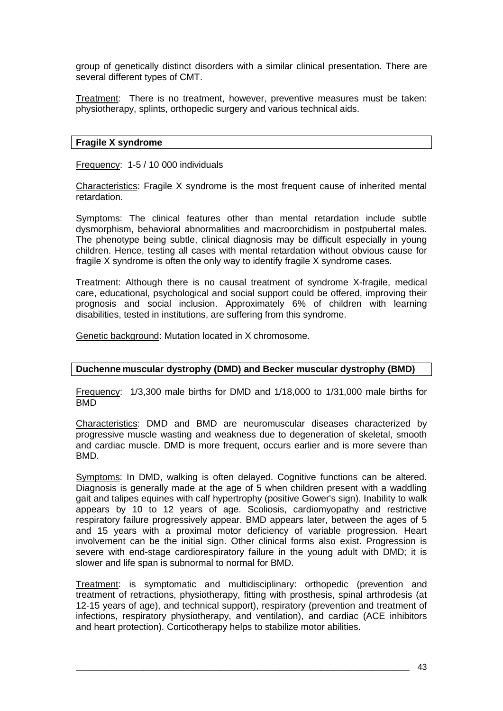group of genetically distinct disorders with a similar clinical presentation. There are several different types of CMT.

Treatment: There is no treatment, however, preventive measures must be taken: physiotherapy, splints, orthopedic surgery and various technical aids.

#### **Fragile X syndrome**

Frequency: 1-5 / 10 000 individuals

Characteristics: Fragile X syndrome is the most frequent cause of inherited mental retardation.

Symptoms: The clinical features other than mental retardation include subtle dysmorphism, behavioral abnormalities and macroorchidism in postpubertal males. The phenotype being subtle, clinical diagnosis may be difficult especially in young children. Hence, testing all cases with mental retardation without obvious cause for fragile X syndrome is often the only way to identify fragile X syndrome cases.

Treatment: Although there is no causal treatment of syndrome X-fragile, medical care, educational, psychological and social support could be offered, improving their prognosis and social inclusion. Approximately 6% of children with learning disabilities, tested in institutions, are suffering from this syndrome.

Genetic background: Mutation located in X chromosome.

#### **Duchenne muscular dystrophy (DMD) and Becker muscular dystrophy (BMD)**

Frequency: 1/3,300 male births for DMD and 1/18,000 to 1/31,000 male births for BMD

Characteristics: DMD and BMD are neuromuscular diseases characterized by progressive muscle wasting and weakness due to degeneration of skeletal, smooth and cardiac muscle. DMD is more frequent, occurs earlier and is more severe than BMD.

Symptoms: In DMD, walking is often delayed. Cognitive functions can be altered. Diagnosis is generally made at the age of 5 when children present with a waddling gait and talipes equines with calf hypertrophy (positive Gower's sign). Inability to walk appears by 10 to 12 years of age. Scoliosis, cardiomyopathy and restrictive respiratory failure progressively appear. BMD appears later, between the ages of 5 and 15 years with a proximal motor deficiency of variable progression. Heart involvement can be the initial sign. Other clinical forms also exist. Progression is severe with end-stage cardiorespiratory failure in the young adult with DMD; it is slower and life span is subnormal to normal for BMD.

Treatment: is symptomatic and multidisciplinary: orthopedic (prevention and treatment of retractions, physiotherapy, fitting with prosthesis, spinal arthrodesis (at 12-15 years of age), and technical support), respiratory (prevention and treatment of infections, respiratory physiotherapy, and ventilation), and cardiac (ACE inhibitors and heart protection). Corticotherapy helps to stabilize motor abilities.